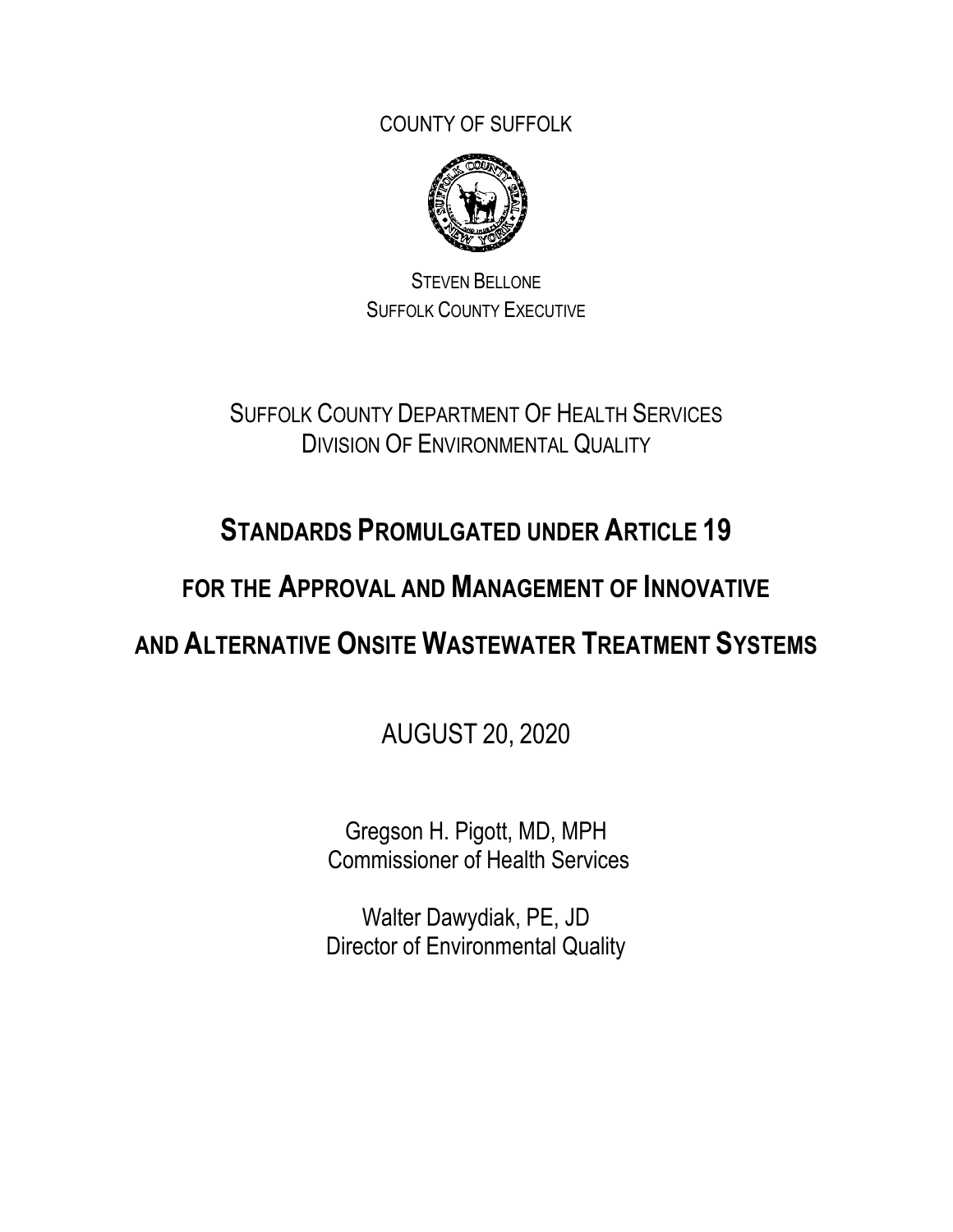COUNTY OF SUFFOLK



STEVEN BELLONE SUFFOLK COUNTY EXECUTIVE

SUFFOLK COUNTY DEPARTMENT OF HEALTH SERVICES DIVISION OF ENVIRONMENTAL QUALITY

# **STANDARDS PROMULGATED UNDER ARTICLE 19**

## **FOR THE APPROVAL AND MANAGEMENT OF INNOVATIVE**

# **AND ALTERNATIVE ONSITE WASTEWATER TREATMENT SYSTEMS**

AUGUST 20, 2020

Gregson H. Pigott, MD, MPH Commissioner of Health Services

Walter Dawydiak, PE, JD Director of Environmental Quality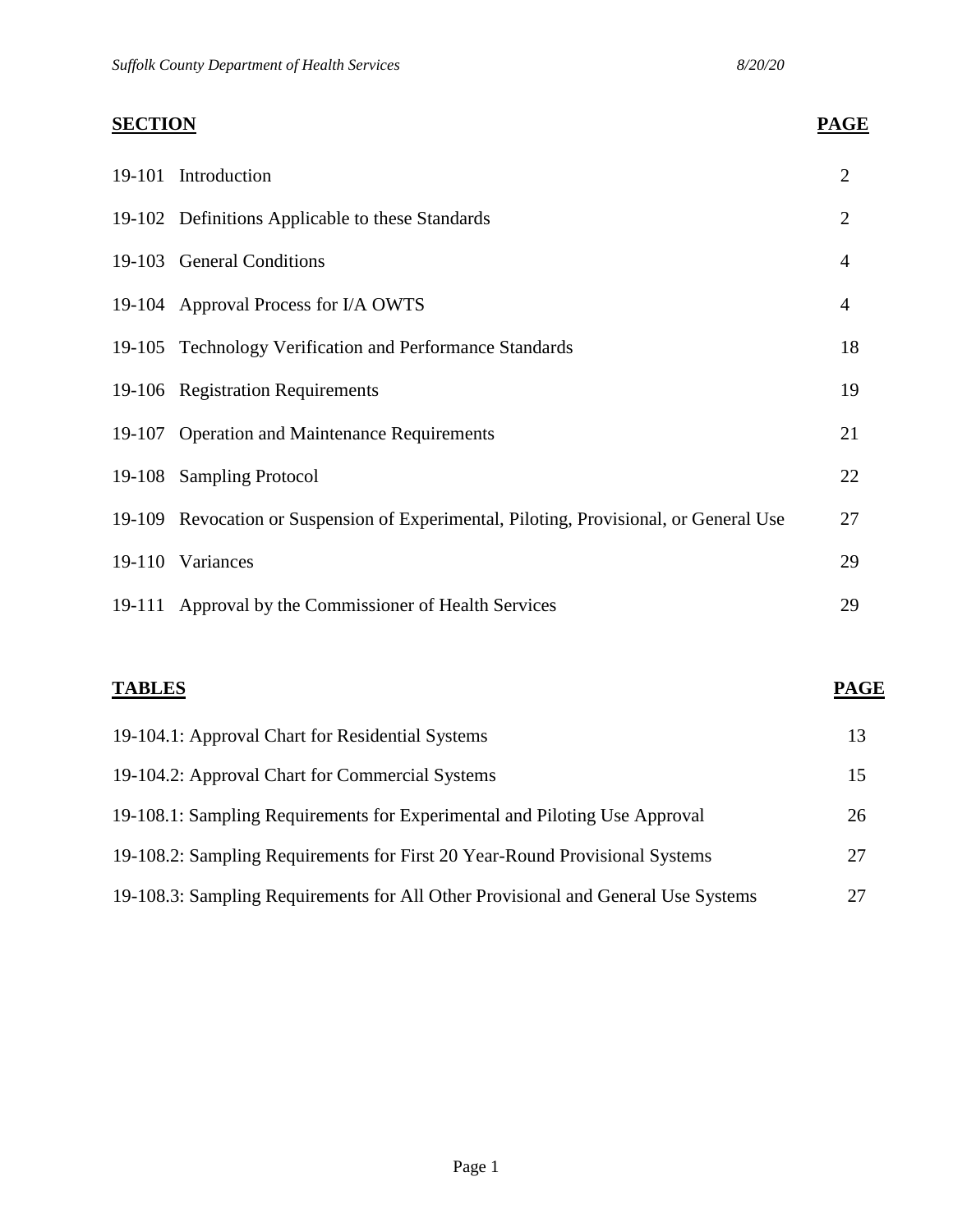# **SECTION PAGE**  19-101 Introduction 2 19-102 Definitions Applicable to these Standards 2 19-103 General Conditions 4 19-104 Approval Process for I/A OWTS 4 19-105 Technology Verification and Performance Standards 18 19-106 Registration Requirements 19 19-107 Operation and Maintenance Requirements 21 19-108 Sampling Protocol 22 19-109 Revocation or Suspension of Experimental, Piloting, Provisional, or General Use 27 19-110 Variances 29 19-111 Approval by the Commissioner of Health Services 29

| <b>TABLES</b>                                                                     | <b>PAGE</b> |
|-----------------------------------------------------------------------------------|-------------|
| 19-104.1: Approval Chart for Residential Systems                                  | 13          |
| 19-104.2: Approval Chart for Commercial Systems                                   | 15          |
| 19-108.1: Sampling Requirements for Experimental and Piloting Use Approval        | 26          |
| 19-108.2: Sampling Requirements for First 20 Year-Round Provisional Systems       | 27          |
| 19-108.3: Sampling Requirements for All Other Provisional and General Use Systems | 27          |

#### Page 1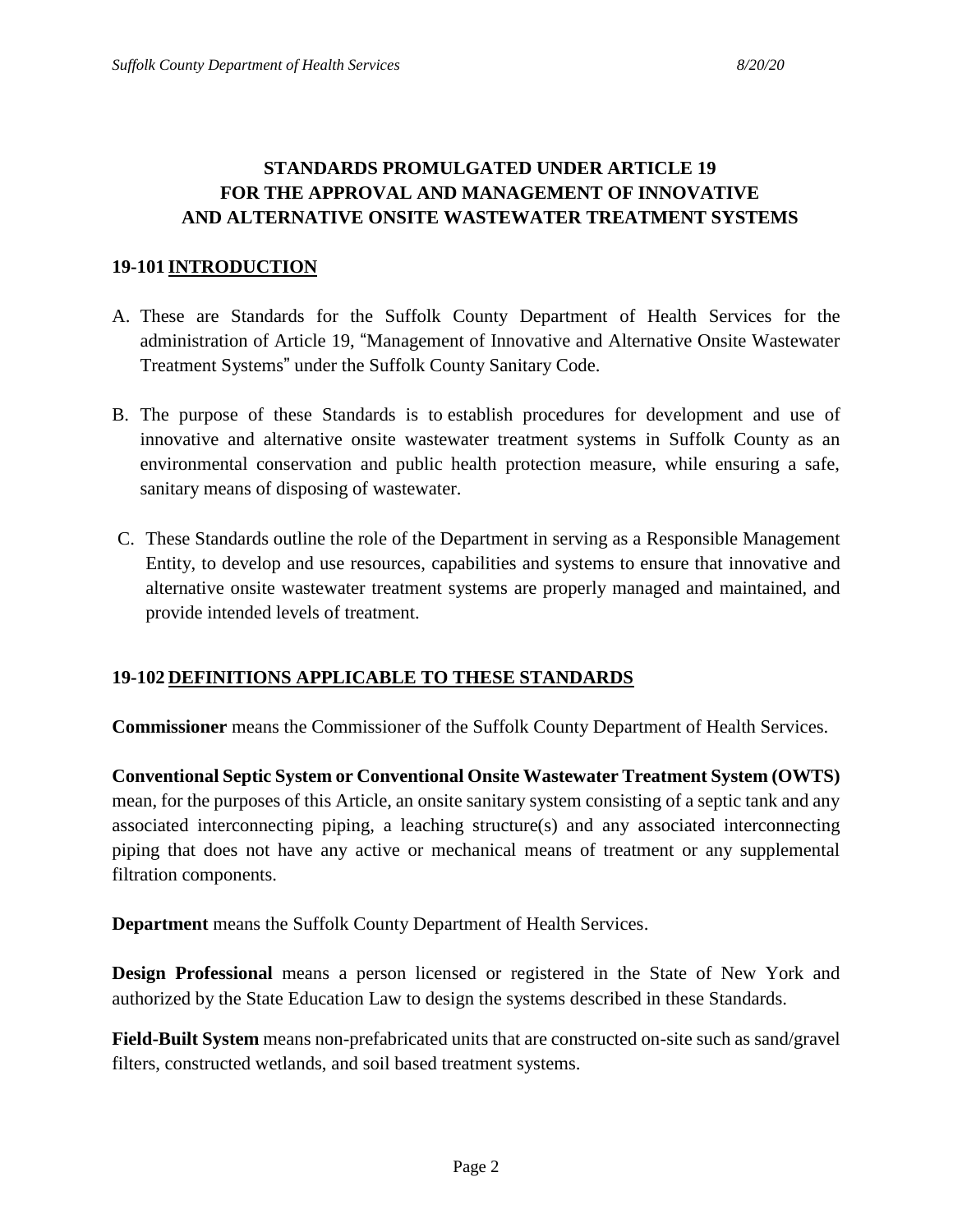### **STANDARDS PROMULGATED UNDER ARTICLE 19 FOR THE APPROVAL AND MANAGEMENT OF INNOVATIVE AND ALTERNATIVE ONSITE WASTEWATER TREATMENT SYSTEMS**

#### **19-101 INTRODUCTION**

- A. These are Standards for the Suffolk County Department of Health Services for the administration of Article 19, "Management of Innovative and Alternative Onsite Wastewater Treatment Systems" under the Suffolk County Sanitary Code.
- B. The purpose of these Standards is to establish procedures for development and use of innovative and alternative onsite wastewater treatment systems in Suffolk County as an environmental conservation and public health protection measure, while ensuring a safe, sanitary means of disposing of wastewater.
- C. These Standards outline the role of the Department in serving as a Responsible Management Entity, to develop and use resources, capabilities and systems to ensure that innovative and alternative onsite wastewater treatment systems are properly managed and maintained, and provide intended levels of treatment.

#### **19-102 DEFINITIONS APPLICABLE TO THESE STANDARDS**

**Commissioner** means the Commissioner of the Suffolk County Department of Health Services.

**Conventional Septic System or Conventional Onsite Wastewater Treatment System (OWTS)**  mean, for the purposes of this Article, an onsite sanitary system consisting of a septic tank and any associated interconnecting piping, a leaching structure(s) and any associated interconnecting piping that does not have any active or mechanical means of treatment or any supplemental filtration components.

**Department** means the Suffolk County Department of Health Services.

**Design Professional** means a person licensed or registered in the State of New York and authorized by the State Education Law to design the systems described in these Standards.

**Field-Built System** means non-prefabricated units that are constructed on-site such as sand/gravel filters, constructed wetlands, and soil based treatment systems.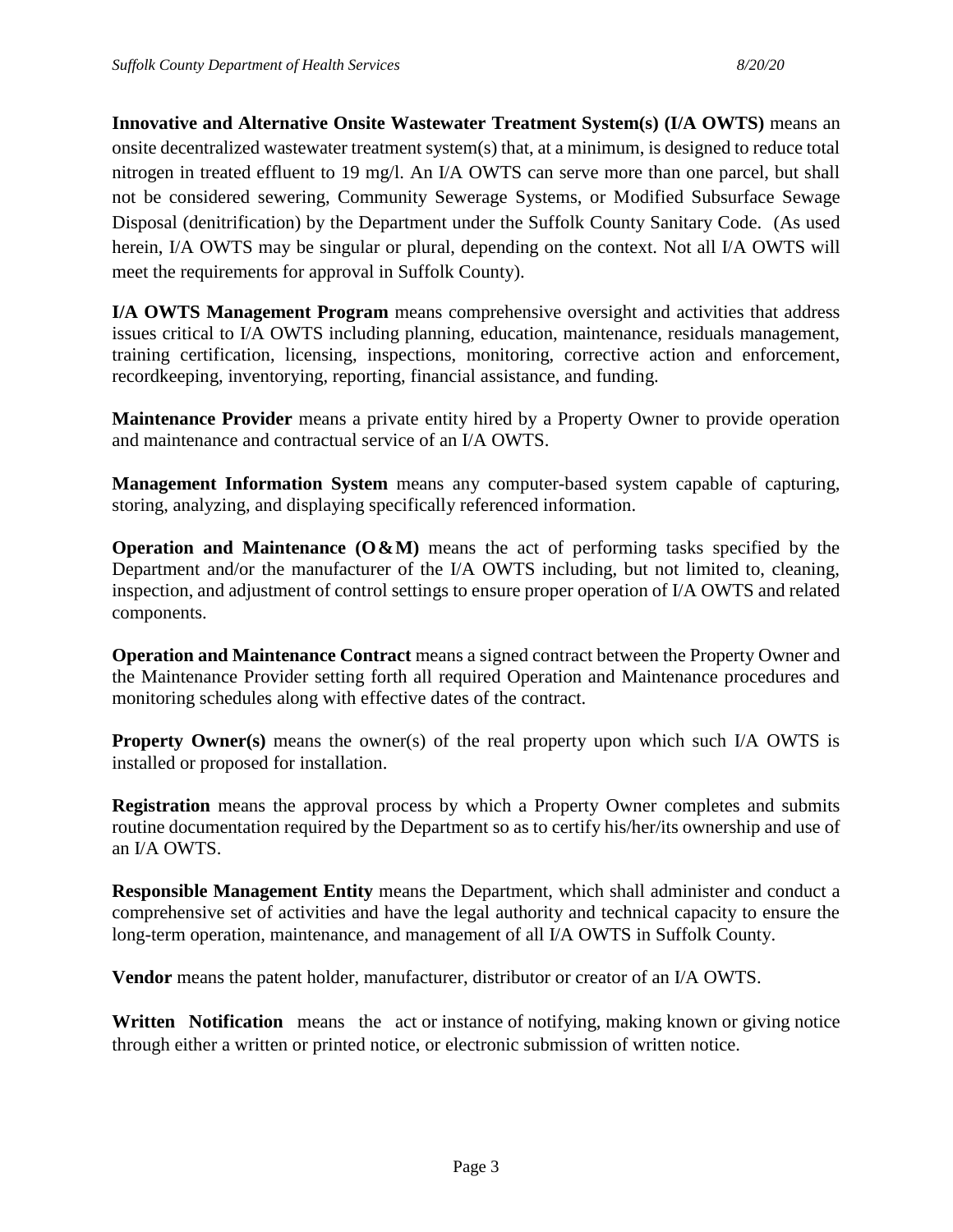**Innovative and Alternative Onsite Wastewater Treatment System(s) (I/A OWTS)** means an onsite decentralized wastewater treatment system(s) that, at a minimum, is designed to reduce total nitrogen in treated effluent to 19 mg/l. An I/A OWTS can serve more than one parcel, but shall not be considered sewering, Community Sewerage Systems, or Modified Subsurface Sewage Disposal (denitrification) by the Department under the Suffolk County Sanitary Code. (As used herein, I/A OWTS may be singular or plural, depending on the context. Not all I/A OWTS will meet the requirements for approval in Suffolk County).

**I/A OWTS Management Program** means comprehensive oversight and activities that address issues critical to I/A OWTS including planning, education, maintenance, residuals management, training certification, licensing, inspections, monitoring, corrective action and enforcement, recordkeeping, inventorying, reporting, financial assistance, and funding.

**Maintenance Provider** means a private entity hired by a Property Owner to provide operation and maintenance and contractual service of an I/A OWTS.

**Management Information System** means any computer-based system capable of capturing, storing, analyzing, and displaying specifically referenced information.

**Operation and Maintenance (O&M)** means the act of performing tasks specified by the Department and/or the manufacturer of the I/A OWTS including, but not limited to, cleaning, inspection, and adjustment of control settings to ensure proper operation of I/A OWTS and related components.

**Operation and Maintenance Contract** means a signed contract between the Property Owner and the Maintenance Provider setting forth all required Operation and Maintenance procedures and monitoring schedules along with effective dates of the contract.

**Property Owner(s)** means the owner(s) of the real property upon which such I/A OWTS is installed or proposed for installation.

**Registration** means the approval process by which a Property Owner completes and submits routine documentation required by the Department so as to certify his/her/its ownership and use of an I/A OWTS.

**Responsible Management Entity** means the Department, which shall administer and conduct a comprehensive set of activities and have the legal authority and technical capacity to ensure the long-term operation, maintenance, and management of all I/A OWTS in Suffolk County.

**Vendor** means the patent holder, manufacturer, distributor or creator of an I/A OWTS.

**Written Notification** means the act or instance of notifying, making known or giving notice through either a written or printed notice, or electronic submission of written notice.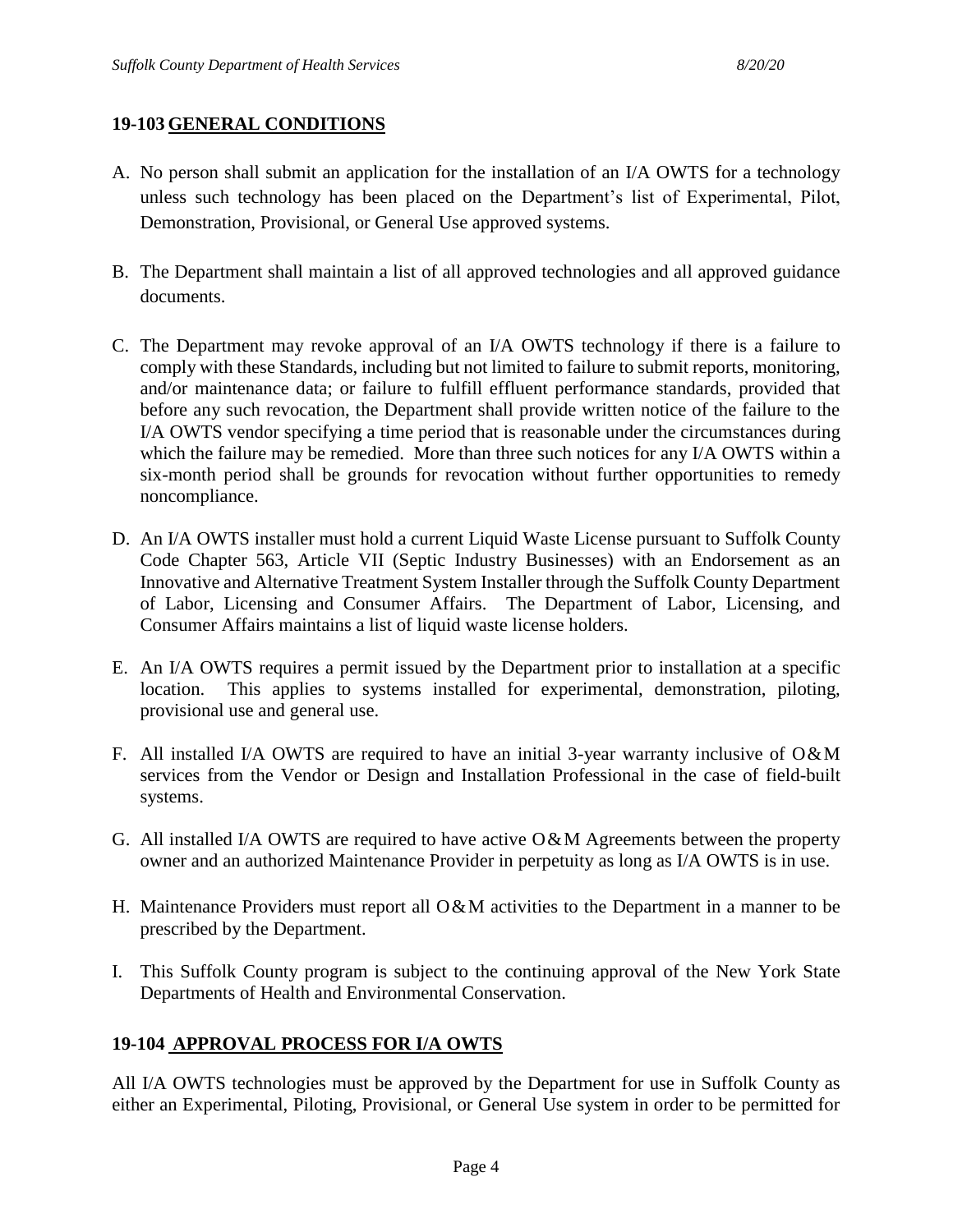#### **19-103 GENERAL CONDITIONS**

- A. No person shall submit an application for the installation of an I/A OWTS for a technology unless such technology has been placed on the Department's list of Experimental, Pilot, Demonstration, Provisional, or General Use approved systems.
- B. The Department shall maintain a list of all approved technologies and all approved guidance documents.
- C. The Department may revoke approval of an I/A OWTS technology if there is a failure to comply with these Standards, including but not limited to failure to submit reports, monitoring, and/or maintenance data; or failure to fulfill effluent performance standards, provided that before any such revocation, the Department shall provide written notice of the failure to the I/A OWTS vendor specifying a time period that is reasonable under the circumstances during which the failure may be remedied. More than three such notices for any I/A OWTS within a six-month period shall be grounds for revocation without further opportunities to remedy noncompliance.
- D. An I/A OWTS installer must hold a current Liquid Waste License pursuant to Suffolk County Code Chapter 563, Article VII (Septic Industry Businesses) with an Endorsement as an Innovative and Alternative Treatment System Installer through the Suffolk County Department of Labor, Licensing and Consumer Affairs. The Department of Labor, Licensing, and Consumer Affairs maintains a list of liquid waste license holders.
- E. An I/A OWTS requires a permit issued by the Department prior to installation at a specific location. This applies to systems installed for experimental, demonstration, piloting, provisional use and general use.
- F. All installed I/A OWTS are required to have an initial 3-year warranty inclusive of  $O\&M$ services from the Vendor or Design and Installation Professional in the case of field-built systems.
- G. All installed I/A OWTS are required to have active  $O\&M$  Agreements between the property owner and an authorized Maintenance Provider in perpetuity as long as I/A OWTS is in use.
- H. Maintenance Providers must report all O&M activities to the Department in a manner to be prescribed by the Department.
- I. This Suffolk County program is subject to the continuing approval of the New York State Departments of Health and Environmental Conservation.

#### **19-104 APPROVAL PROCESS FOR I/A OWTS**

All I/A OWTS technologies must be approved by the Department for use in Suffolk County as either an Experimental, Piloting, Provisional, or General Use system in order to be permitted for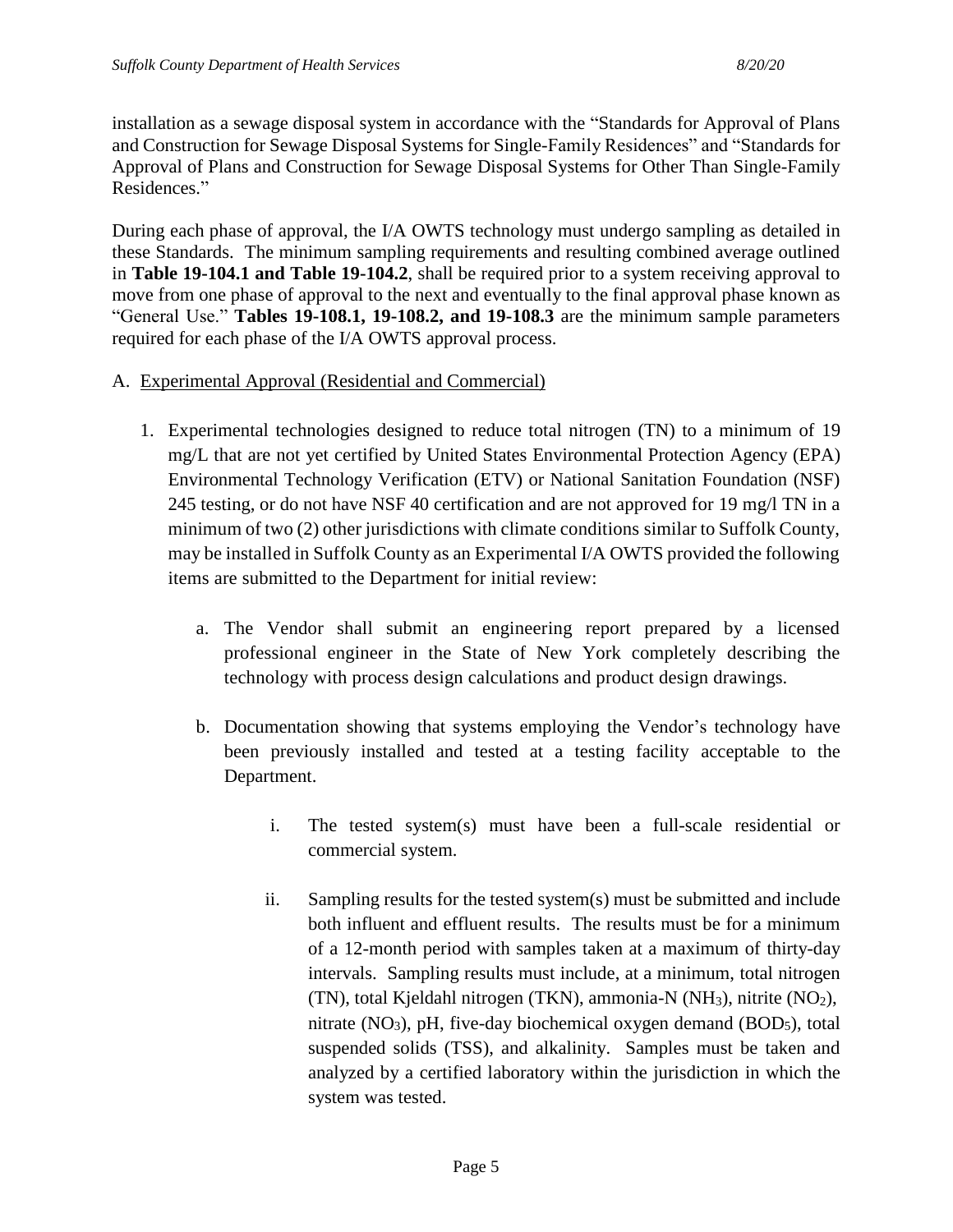installation as a sewage disposal system in accordance with the "Standards for Approval of Plans and Construction for Sewage Disposal Systems for Single-Family Residences" and "Standards for Approval of Plans and Construction for Sewage Disposal Systems for Other Than Single-Family Residences."

During each phase of approval, the I/A OWTS technology must undergo sampling as detailed in these Standards. The minimum sampling requirements and resulting combined average outlined in **Table 19-104.1 and Table 19-104.2**, shall be required prior to a system receiving approval to move from one phase of approval to the next and eventually to the final approval phase known as "General Use." **Tables 19-108.1, 19-108.2, and 19-108.3** are the minimum sample parameters required for each phase of the I/A OWTS approval process.

#### A. Experimental Approval (Residential and Commercial)

- 1. Experimental technologies designed to reduce total nitrogen (TN) to a minimum of 19 mg/L that are not yet certified by United States Environmental Protection Agency (EPA) Environmental Technology Verification (ETV) or National Sanitation Foundation (NSF) 245 testing, or do not have NSF 40 certification and are not approved for 19 mg/l TN in a minimum of two (2) other jurisdictions with climate conditions similar to Suffolk County, may be installed in Suffolk County as an Experimental I/A OWTS provided the following items are submitted to the Department for initial review:
	- a. The Vendor shall submit an engineering report prepared by a licensed professional engineer in the State of New York completely describing the technology with process design calculations and product design drawings.
	- b. Documentation showing that systems employing the Vendor's technology have been previously installed and tested at a testing facility acceptable to the Department.
		- i. The tested system(s) must have been a full-scale residential or commercial system.
		- ii. Sampling results for the tested system(s) must be submitted and include both influent and effluent results. The results must be for a minimum of a 12-month period with samples taken at a maximum of thirty-day intervals. Sampling results must include, at a minimum, total nitrogen (TN), total Kjeldahl nitrogen (TKN), ammonia-N (NH3), nitrite (NO2), nitrate  $(NO<sub>3</sub>)$ , pH, five-day biochemical oxygen demand  $(BOD<sub>5</sub>)$ , total suspended solids (TSS), and alkalinity. Samples must be taken and analyzed by a certified laboratory within the jurisdiction in which the system was tested.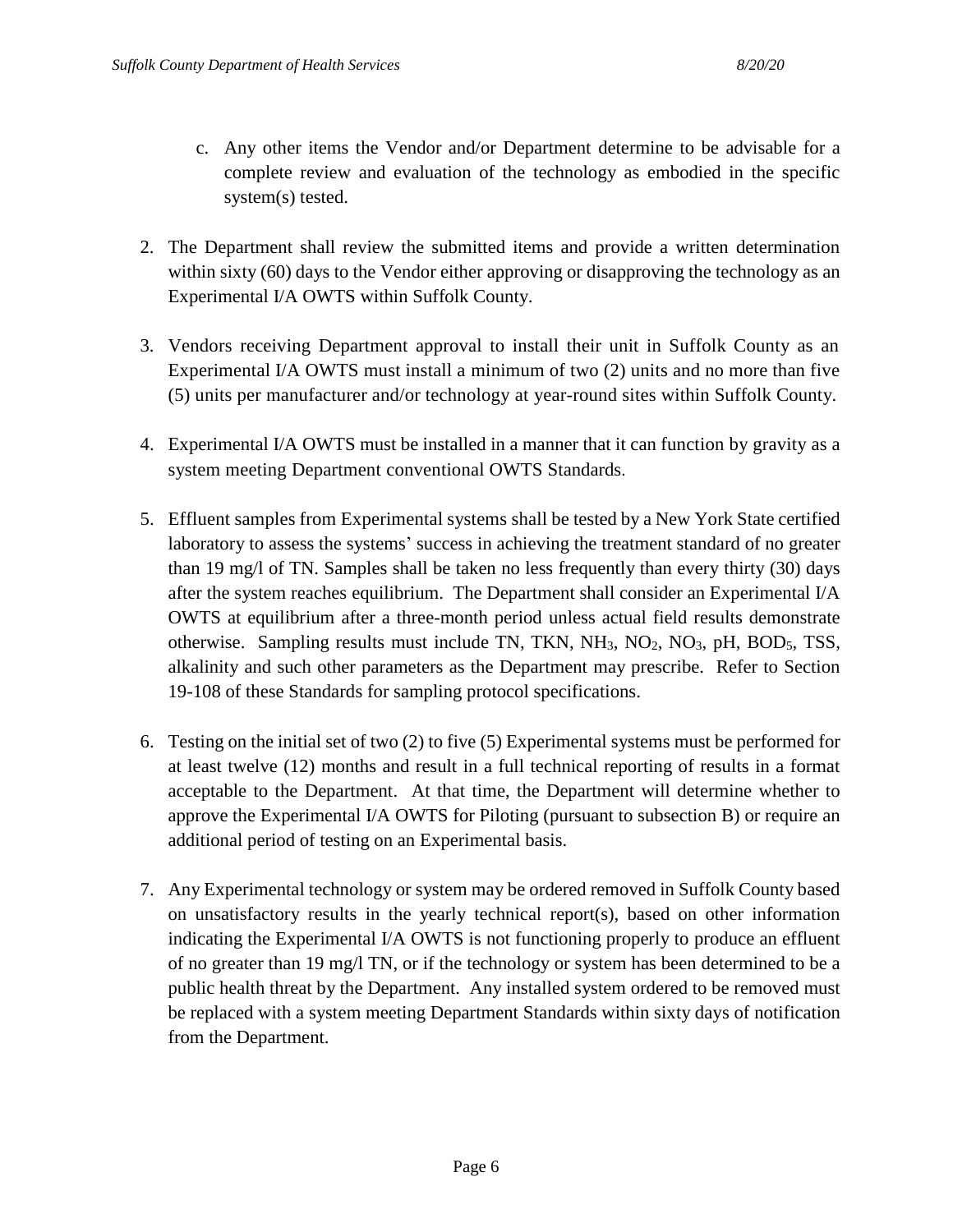- c. Any other items the Vendor and/or Department determine to be advisable for a complete review and evaluation of the technology as embodied in the specific system(s) tested.
- 2. The Department shall review the submitted items and provide a written determination within sixty (60) days to the Vendor either approving or disapproving the technology as an Experimental I/A OWTS within Suffolk County.
- 3. Vendors receiving Department approval to install their unit in Suffolk County as an Experimental I/A OWTS must install a minimum of two (2) units and no more than five (5) units per manufacturer and/or technology at year-round sites within Suffolk County.
- 4. Experimental I/A OWTS must be installed in a manner that it can function by gravity as a system meeting Department conventional OWTS Standards.
- 5. Effluent samples from Experimental systems shall be tested by a New York State certified laboratory to assess the systems' success in achieving the treatment standard of no greater than 19 mg/l of TN. Samples shall be taken no less frequently than every thirty (30) days after the system reaches equilibrium. The Department shall consider an Experimental I/A OWTS at equilibrium after a three-month period unless actual field results demonstrate otherwise. Sampling results must include TN, TKN,  $NH_3$ ,  $NO_2$ ,  $NO_3$ ,  $pH$ ,  $BOD_5$ , TSS, alkalinity and such other parameters as the Department may prescribe. Refer to Section 19-108 of these Standards for sampling protocol specifications.
- 6. Testing on the initial set of two (2) to five (5) Experimental systems must be performed for at least twelve (12) months and result in a full technical reporting of results in a format acceptable to the Department. At that time, the Department will determine whether to approve the Experimental I/A OWTS for Piloting (pursuant to subsection B) or require an additional period of testing on an Experimental basis.
- 7. Any Experimental technology or system may be ordered removed in Suffolk County based on unsatisfactory results in the yearly technical report(s), based on other information indicating the Experimental I/A OWTS is not functioning properly to produce an effluent of no greater than 19 mg/l TN, or if the technology or system has been determined to be a public health threat by the Department. Any installed system ordered to be removed must be replaced with a system meeting Department Standards within sixty days of notification from the Department.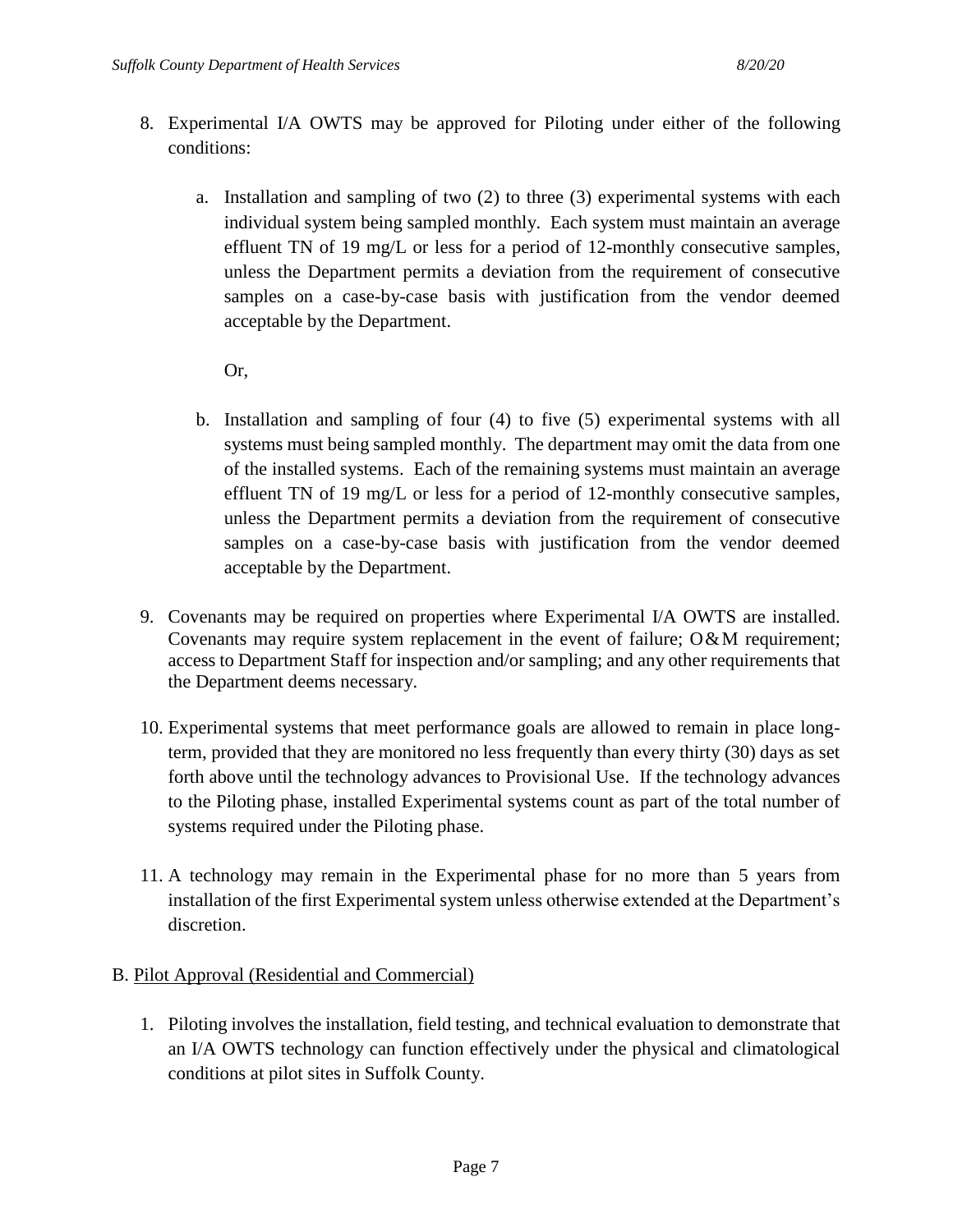- 8. Experimental I/A OWTS may be approved for Piloting under either of the following conditions:
	- a. Installation and sampling of two (2) to three (3) experimental systems with each individual system being sampled monthly. Each system must maintain an average effluent TN of 19 mg/L or less for a period of 12-monthly consecutive samples, unless the Department permits a deviation from the requirement of consecutive samples on a case-by-case basis with justification from the vendor deemed acceptable by the Department.

Or,

- b. Installation and sampling of four (4) to five (5) experimental systems with all systems must being sampled monthly. The department may omit the data from one of the installed systems. Each of the remaining systems must maintain an average effluent TN of 19 mg/L or less for a period of 12-monthly consecutive samples, unless the Department permits a deviation from the requirement of consecutive samples on a case-by-case basis with justification from the vendor deemed acceptable by the Department.
- 9. Covenants may be required on properties where Experimental I/A OWTS are installed. Covenants may require system replacement in the event of failure;  $O\&M$  requirement; access to Department Staff for inspection and/or sampling; and any other requirements that the Department deems necessary.
- 10. Experimental systems that meet performance goals are allowed to remain in place longterm, provided that they are monitored no less frequently than every thirty (30) days as set forth above until the technology advances to Provisional Use. If the technology advances to the Piloting phase, installed Experimental systems count as part of the total number of systems required under the Piloting phase.
- 11. A technology may remain in the Experimental phase for no more than 5 years from installation of the first Experimental system unless otherwise extended at the Department's discretion.

### B. Pilot Approval (Residential and Commercial)

1. Piloting involves the installation, field testing, and technical evaluation to demonstrate that an I/A OWTS technology can function effectively under the physical and climatological conditions at pilot sites in Suffolk County.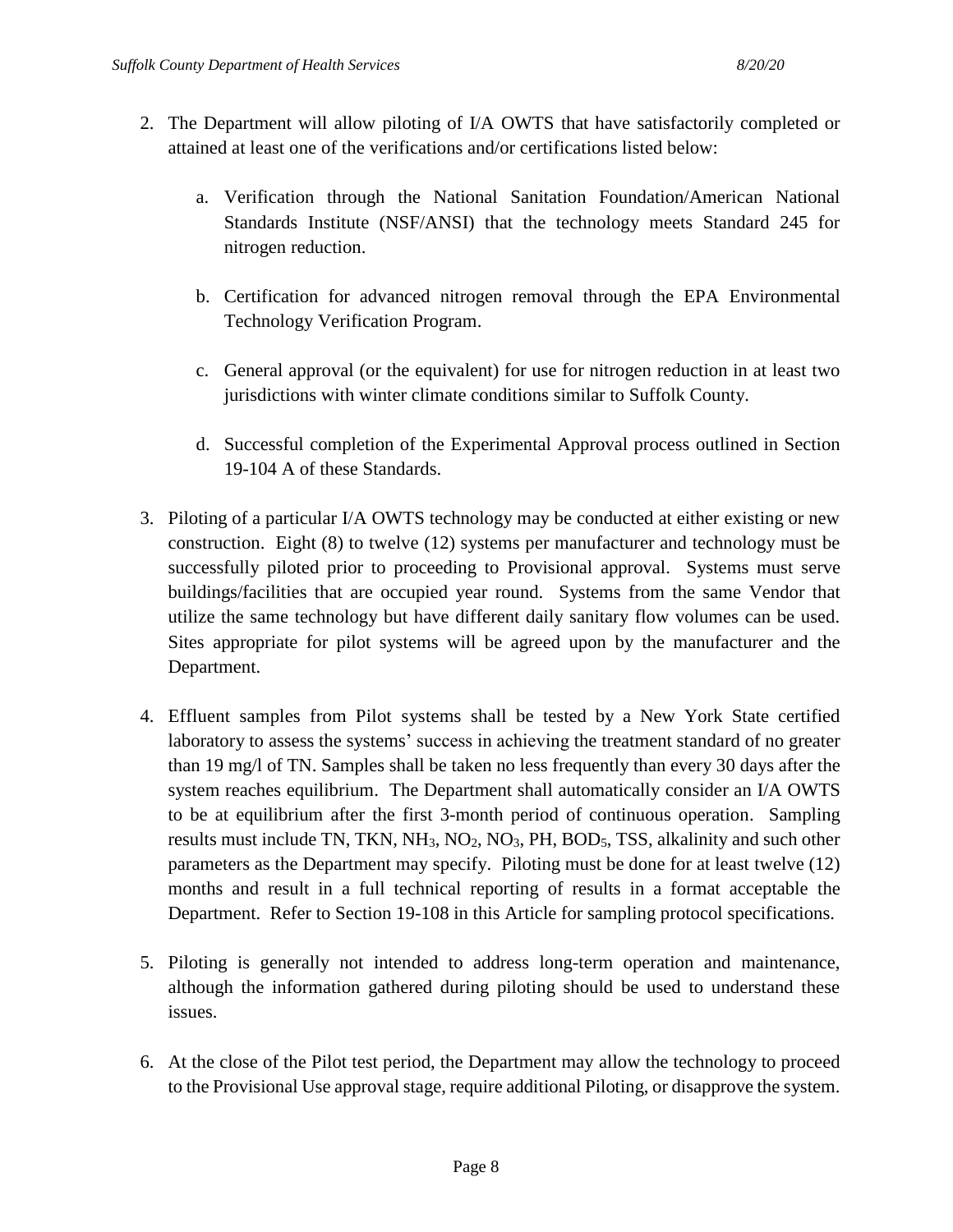- 2. The Department will allow piloting of I/A OWTS that have satisfactorily completed or attained at least one of the verifications and/or certifications listed below:
	- a. Verification through the National Sanitation Foundation/American National Standards Institute (NSF/ANSI) that the technology meets Standard 245 for nitrogen reduction.
	- b. Certification for advanced nitrogen removal through the EPA Environmental Technology Verification Program.
	- c. General approval (or the equivalent) for use for nitrogen reduction in at least two jurisdictions with winter climate conditions similar to Suffolk County.
	- d. Successful completion of the Experimental Approval process outlined in Section 19-104 A of these Standards.
- 3. Piloting of a particular I/A OWTS technology may be conducted at either existing or new construction. Eight (8) to twelve (12) systems per manufacturer and technology must be successfully piloted prior to proceeding to Provisional approval. Systems must serve buildings/facilities that are occupied year round. Systems from the same Vendor that utilize the same technology but have different daily sanitary flow volumes can be used. Sites appropriate for pilot systems will be agreed upon by the manufacturer and the Department.
- 4. Effluent samples from Pilot systems shall be tested by a New York State certified laboratory to assess the systems' success in achieving the treatment standard of no greater than 19 mg/l of TN. Samples shall be taken no less frequently than every 30 days after the system reaches equilibrium. The Department shall automatically consider an I/A OWTS to be at equilibrium after the first 3-month period of continuous operation. Sampling results must include TN, TKN,  $NH_3$ ,  $NO_2$ ,  $NO_3$ ,  $PH$ ,  $BOD_5$ , TSS, alkalinity and such other parameters as the Department may specify. Piloting must be done for at least twelve (12) months and result in a full technical reporting of results in a format acceptable the Department. Refer to Section 19-108 in this Article for sampling protocol specifications.
- 5. Piloting is generally not intended to address long-term operation and maintenance, although the information gathered during piloting should be used to understand these issues.
- 6. At the close of the Pilot test period, the Department may allow the technology to proceed to the Provisional Use approval stage, require additional Piloting, or disapprove the system.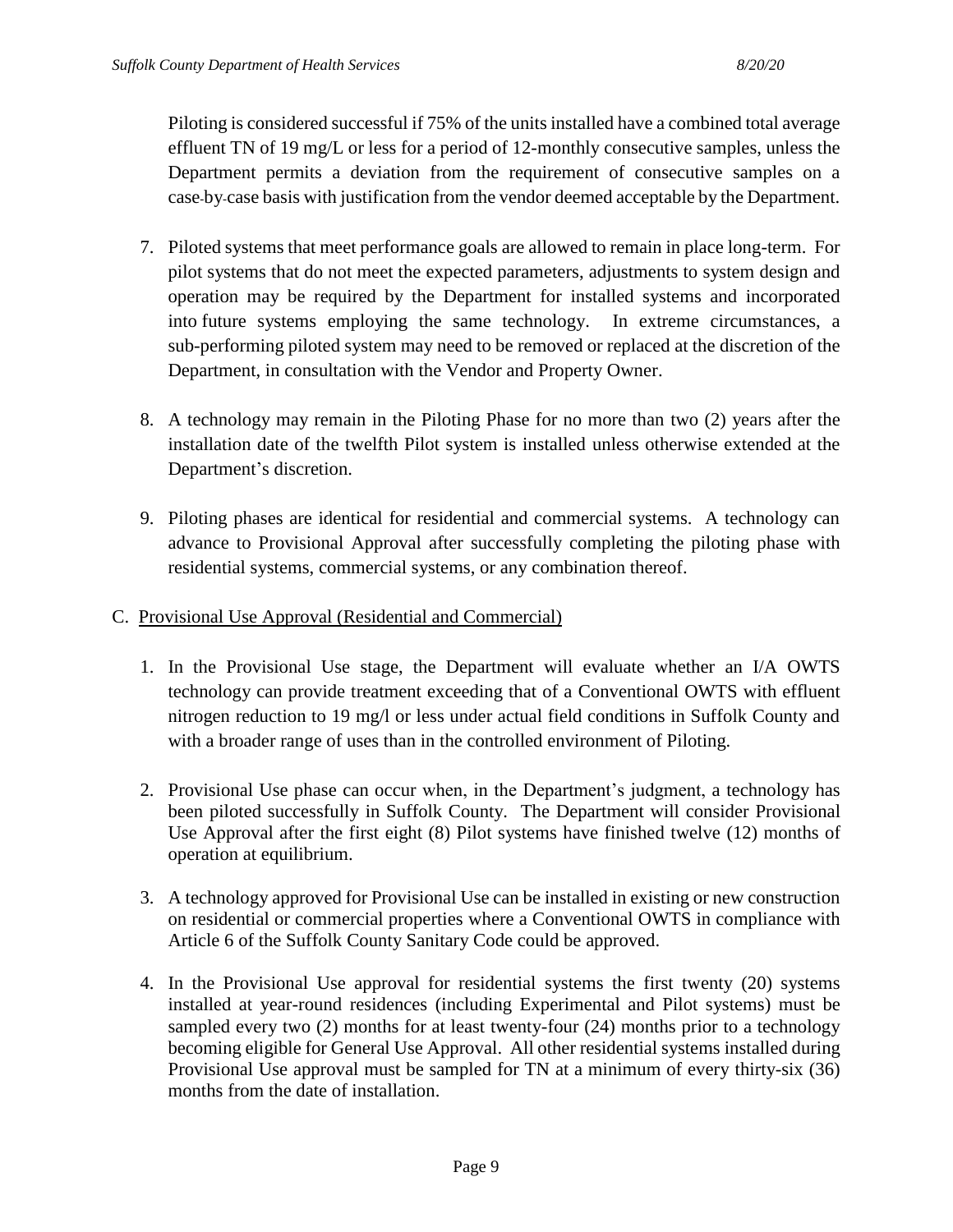Piloting is considered successful if 75% of the units installed have a combined total average effluent TN of 19 mg/L or less for a period of 12-monthly consecutive samples, unless the Department permits a deviation from the requirement of consecutive samples on a case-by-case basis with justification from the vendor deemed acceptable by the Department.

- 7. Piloted systems that meet performance goals are allowed to remain in place long-term. For pilot systems that do not meet the expected parameters, adjustments to system design and operation may be required by the Department for installed systems and incorporated into future systems employing the same technology. In extreme circumstances, a sub-performing piloted system may need to be removed or replaced at the discretion of the Department, in consultation with the Vendor and Property Owner.
- 8. A technology may remain in the Piloting Phase for no more than two (2) years after the installation date of the twelfth Pilot system is installed unless otherwise extended at the Department's discretion.
- 9. Piloting phases are identical for residential and commercial systems. A technology can advance to Provisional Approval after successfully completing the piloting phase with residential systems, commercial systems, or any combination thereof.

#### C. Provisional Use Approval (Residential and Commercial)

- 1. In the Provisional Use stage, the Department will evaluate whether an I/A OWTS technology can provide treatment exceeding that of a Conventional OWTS with effluent nitrogen reduction to 19 mg/l or less under actual field conditions in Suffolk County and with a broader range of uses than in the controlled environment of Piloting.
- 2. Provisional Use phase can occur when, in the Department's judgment, a technology has been piloted successfully in Suffolk County. The Department will consider Provisional Use Approval after the first eight (8) Pilot systems have finished twelve (12) months of operation at equilibrium.
- 3. A technology approved for Provisional Use can be installed in existing or new construction on residential or commercial properties where a Conventional OWTS in compliance with Article 6 of the Suffolk County Sanitary Code could be approved.
- 4. In the Provisional Use approval for residential systems the first twenty (20) systems installed at year-round residences (including Experimental and Pilot systems) must be sampled every two (2) months for at least twenty-four (24) months prior to a technology becoming eligible for General Use Approval. All other residential systems installed during Provisional Use approval must be sampled for TN at a minimum of every thirty-six (36) months from the date of installation.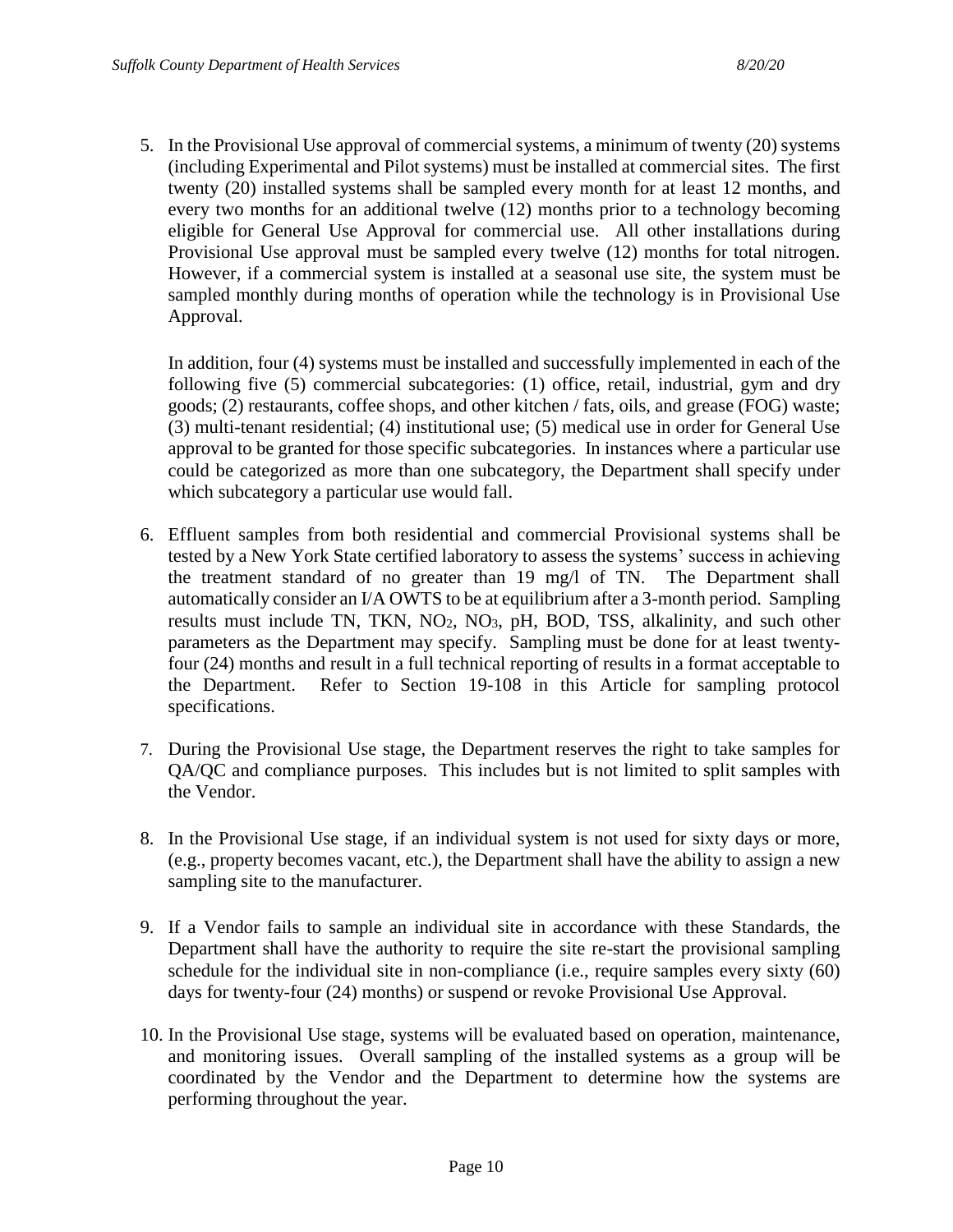5. In the Provisional Use approval of commercial systems, a minimum of twenty (20) systems (including Experimental and Pilot systems) must be installed at commercial sites. The first twenty (20) installed systems shall be sampled every month for at least 12 months, and every two months for an additional twelve (12) months prior to a technology becoming eligible for General Use Approval for commercial use. All other installations during Provisional Use approval must be sampled every twelve (12) months for total nitrogen. However, if a commercial system is installed at a seasonal use site, the system must be sampled monthly during months of operation while the technology is in Provisional Use Approval.

In addition, four (4) systems must be installed and successfully implemented in each of the following five (5) commercial subcategories: (1) office, retail, industrial, gym and dry goods; (2) restaurants, coffee shops, and other kitchen / fats, oils, and grease (FOG) waste; (3) multi-tenant residential; (4) institutional use; (5) medical use in order for General Use approval to be granted for those specific subcategories. In instances where a particular use could be categorized as more than one subcategory, the Department shall specify under which subcategory a particular use would fall.

- 6. Effluent samples from both residential and commercial Provisional systems shall be tested by a New York State certified laboratory to assess the systems' success in achieving the treatment standard of no greater than 19 mg/l of TN. The Department shall automatically consider an I/A OWTS to be at equilibrium after a 3-month period. Sampling results must include TN, TKN,  $NO<sub>2</sub>$ ,  $NO<sub>3</sub>$ ,  $pH$ ,  $BOD$ , TSS, alkalinity, and such other parameters as the Department may specify. Sampling must be done for at least twentyfour (24) months and result in a full technical reporting of results in a format acceptable to the Department. Refer to Section 19-108 in this Article for sampling protocol specifications.
- 7. During the Provisional Use stage, the Department reserves the right to take samples for QA/QC and compliance purposes. This includes but is not limited to split samples with the Vendor.
- 8. In the Provisional Use stage, if an individual system is not used for sixty days or more, (e.g., property becomes vacant, etc.), the Department shall have the ability to assign a new sampling site to the manufacturer.
- 9. If a Vendor fails to sample an individual site in accordance with these Standards, the Department shall have the authority to require the site re-start the provisional sampling schedule for the individual site in non-compliance (i.e., require samples every sixty (60) days for twenty-four (24) months) or suspend or revoke Provisional Use Approval.
- 10. In the Provisional Use stage, systems will be evaluated based on operation, maintenance, and monitoring issues. Overall sampling of the installed systems as a group will be coordinated by the Vendor and the Department to determine how the systems are performing throughout the year.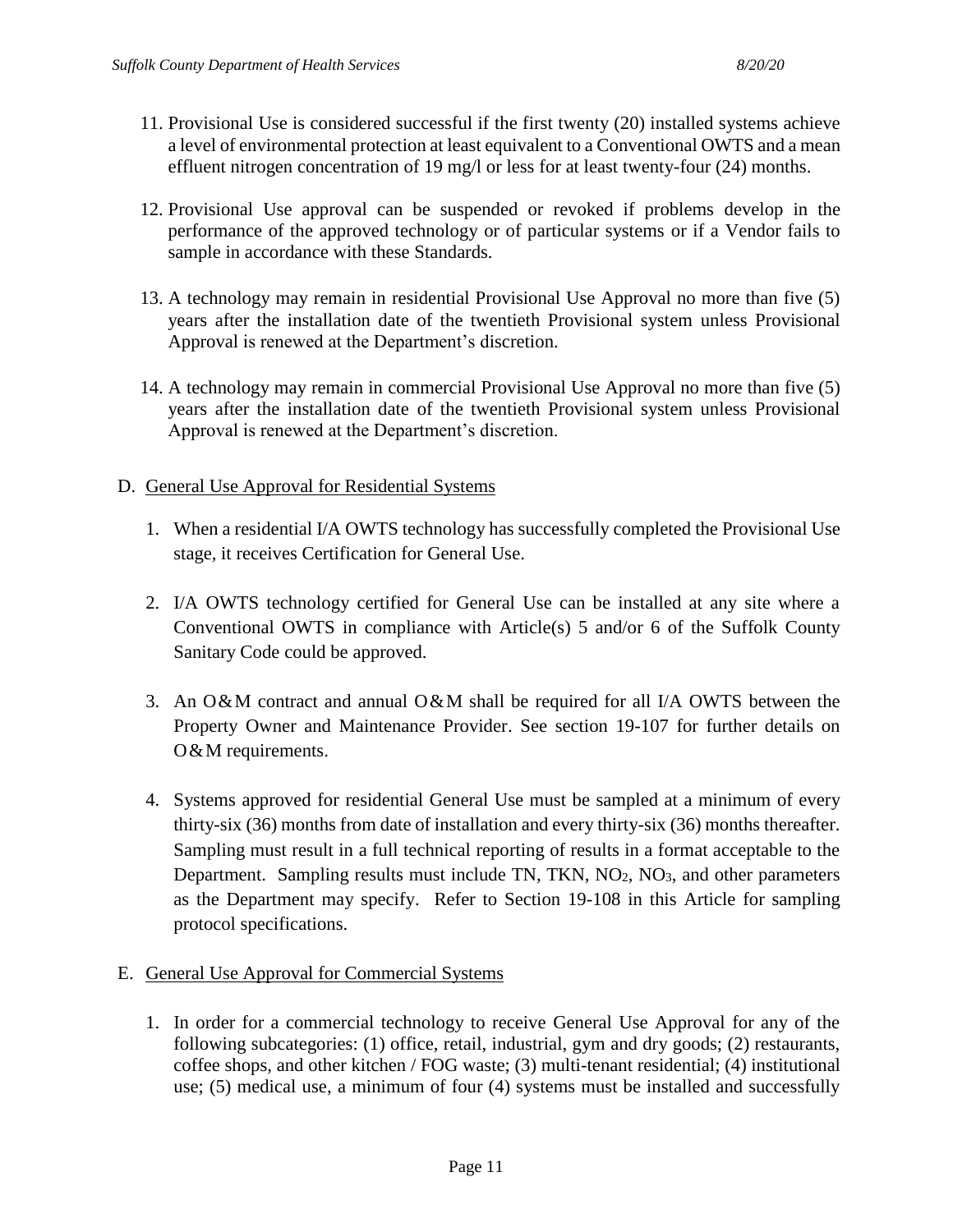- 11. Provisional Use is considered successful if the first twenty (20) installed systems achieve a level of environmental protection at least equivalent to a Conventional OWTS and a mean effluent nitrogen concentration of 19 mg/l or less for at least twenty-four (24) months.
- 12. Provisional Use approval can be suspended or revoked if problems develop in the performance of the approved technology or of particular systems or if a Vendor fails to sample in accordance with these Standards.
- 13. A technology may remain in residential Provisional Use Approval no more than five (5) years after the installation date of the twentieth Provisional system unless Provisional Approval is renewed at the Department's discretion.
- 14. A technology may remain in commercial Provisional Use Approval no more than five (5) years after the installation date of the twentieth Provisional system unless Provisional Approval is renewed at the Department's discretion.
- D. General Use Approval for Residential Systems
	- 1. When a residential I/A OWTS technology has successfully completed the Provisional Use stage, it receives Certification for General Use.
	- 2. I/A OWTS technology certified for General Use can be installed at any site where a Conventional OWTS in compliance with Article(s) 5 and/or 6 of the Suffolk County Sanitary Code could be approved.
	- 3. An O&M contract and annual O&M shall be required for all I/A OWTS between the Property Owner and Maintenance Provider. See section 19-107 for further details on O & M requirements.
	- 4. Systems approved for residential General Use must be sampled at a minimum of every thirty-six (36) months from date of installation and every thirty-six (36) months thereafter. Sampling must result in a full technical reporting of results in a format acceptable to the Department. Sampling results must include TN, TKN,  $NO<sub>2</sub>$ ,  $NO<sub>3</sub>$ , and other parameters as the Department may specify. Refer to Section 19-108 in this Article for sampling protocol specifications.
- E. General Use Approval for Commercial Systems
	- 1. In order for a commercial technology to receive General Use Approval for any of the following subcategories: (1) office, retail, industrial, gym and dry goods; (2) restaurants, coffee shops, and other kitchen / FOG waste; (3) multi-tenant residential; (4) institutional use; (5) medical use, a minimum of four (4) systems must be installed and successfully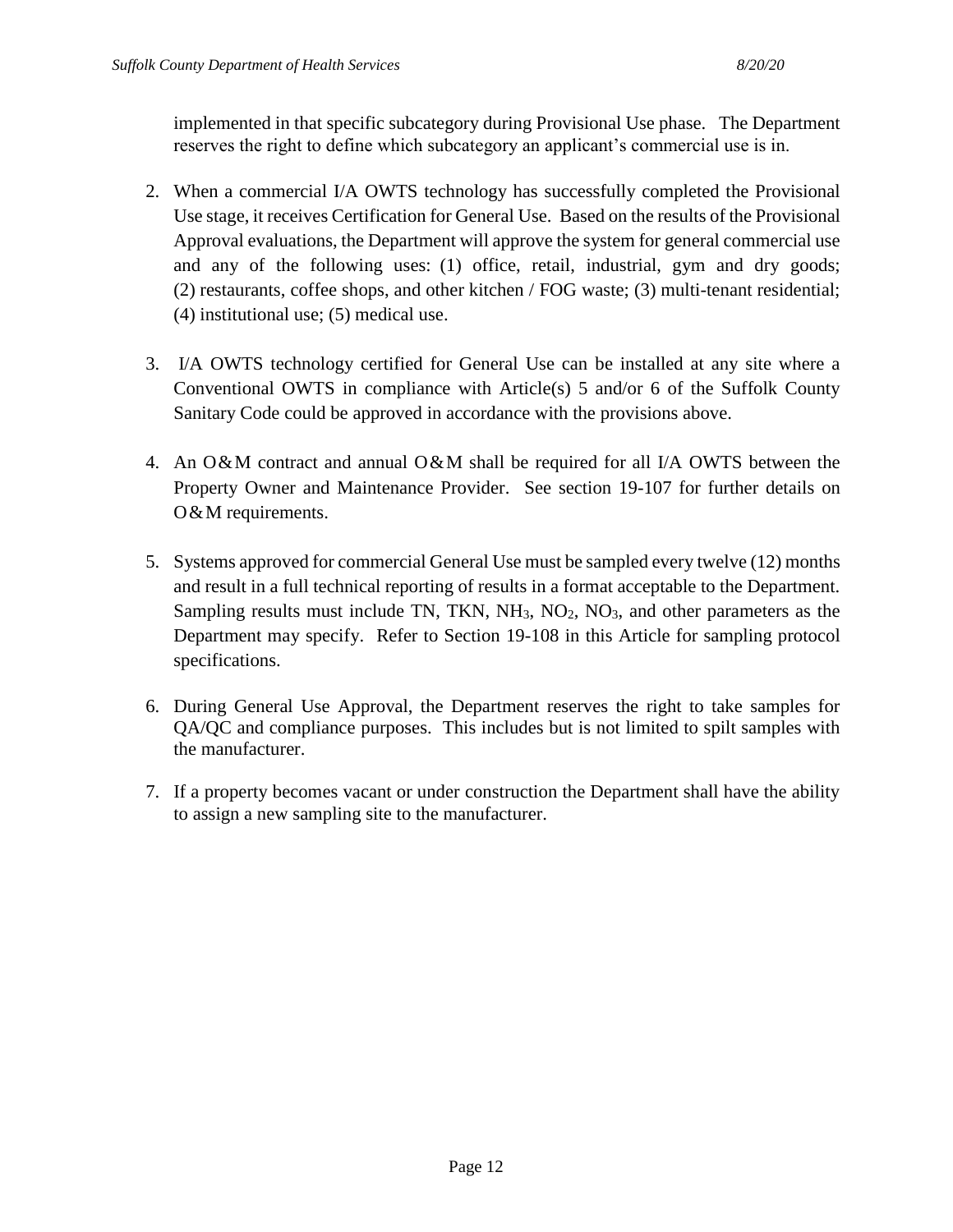implemented in that specific subcategory during Provisional Use phase. The Department reserves the right to define which subcategory an applicant's commercial use is in.

- 2. When a commercial I/A OWTS technology has successfully completed the Provisional Use stage, it receives Certification for General Use. Based on the results of the Provisional Approval evaluations, the Department will approve the system for general commercial use and any of the following uses: (1) office, retail, industrial, gym and dry goods; (2) restaurants, coffee shops, and other kitchen / FOG waste; (3) multi-tenant residential; (4) institutional use; (5) medical use.
- 3. I/A OWTS technology certified for General Use can be installed at any site where a Conventional OWTS in compliance with Article(s) 5 and/or 6 of the Suffolk County Sanitary Code could be approved in accordance with the provisions above.
- 4. An O&M contract and annual O&M shall be required for all I/A OWTS between the Property Owner and Maintenance Provider. See section 19-107 for further details on O & M requirements.
- 5. Systems approved for commercial General Use must be sampled every twelve (12) months and result in a full technical reporting of results in a format acceptable to the Department. Sampling results must include TN, TKN, NH<sub>3</sub>, NO<sub>2</sub>, NO<sub>3</sub>, and other parameters as the Department may specify. Refer to Section 19-108 in this Article for sampling protocol specifications.
- 6. During General Use Approval, the Department reserves the right to take samples for QA/QC and compliance purposes. This includes but is not limited to spilt samples with the manufacturer.
- 7. If a property becomes vacant or under construction the Department shall have the ability to assign a new sampling site to the manufacturer.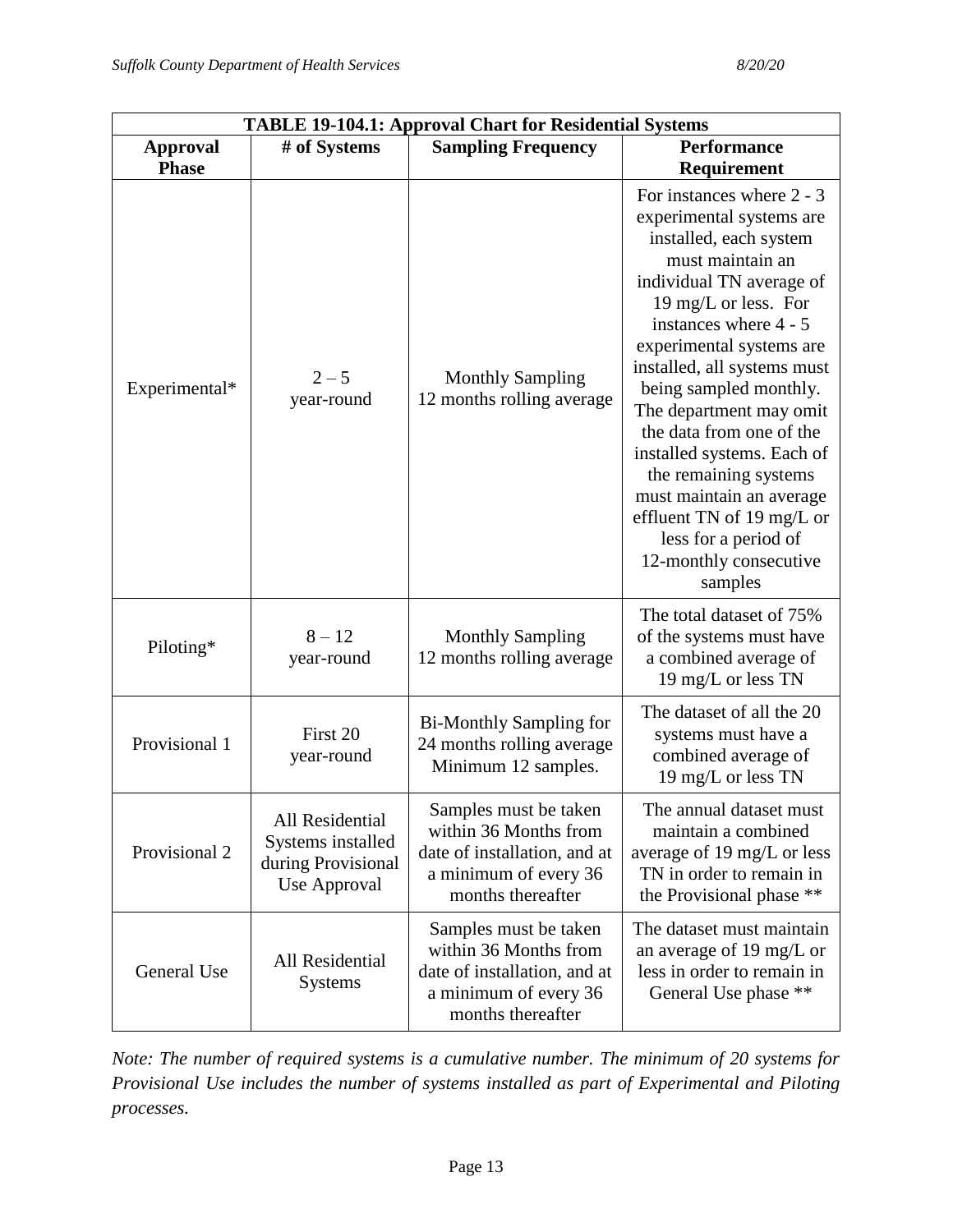| <b>TABLE 19-104.1: Approval Chart for Residential Systems</b> |                                                                            |                                                                                                                              |                                                                                                                                                                                                                                                                                                                                                                                                                                                                                                           |
|---------------------------------------------------------------|----------------------------------------------------------------------------|------------------------------------------------------------------------------------------------------------------------------|-----------------------------------------------------------------------------------------------------------------------------------------------------------------------------------------------------------------------------------------------------------------------------------------------------------------------------------------------------------------------------------------------------------------------------------------------------------------------------------------------------------|
| <b>Approval</b>                                               | # of Systems                                                               | <b>Sampling Frequency</b>                                                                                                    | <b>Performance</b>                                                                                                                                                                                                                                                                                                                                                                                                                                                                                        |
| <b>Phase</b>                                                  |                                                                            |                                                                                                                              | Requirement                                                                                                                                                                                                                                                                                                                                                                                                                                                                                               |
| Experimental*                                                 | $2 - 5$<br>year-round                                                      | <b>Monthly Sampling</b><br>12 months rolling average                                                                         | For instances where 2 - 3<br>experimental systems are<br>installed, each system<br>must maintain an<br>individual TN average of<br>19 mg/L or less. For<br>instances where 4 - 5<br>experimental systems are<br>installed, all systems must<br>being sampled monthly.<br>The department may omit<br>the data from one of the<br>installed systems. Each of<br>the remaining systems<br>must maintain an average<br>effluent TN of 19 mg/L or<br>less for a period of<br>12-monthly consecutive<br>samples |
| Piloting*                                                     | $8 - 12$<br>year-round                                                     | <b>Monthly Sampling</b><br>12 months rolling average                                                                         | The total dataset of 75%<br>of the systems must have<br>a combined average of<br>19 mg/L or less TN                                                                                                                                                                                                                                                                                                                                                                                                       |
| Provisional 1                                                 | First 20<br>year-round                                                     | <b>Bi-Monthly Sampling for</b><br>24 months rolling average<br>Minimum 12 samples.                                           | The dataset of all the 20<br>systems must have a<br>combined average of<br>19 mg/L or less TN                                                                                                                                                                                                                                                                                                                                                                                                             |
| Provisional 2                                                 | All Residential<br>Systems installed<br>during Provisional<br>Use Approval | Samples must be taken<br>within 36 Months from<br>date of installation, and at<br>a minimum of every 36<br>months thereafter | The annual dataset must<br>maintain a combined<br>average of 19 mg/L or less<br>TN in order to remain in<br>the Provisional phase **                                                                                                                                                                                                                                                                                                                                                                      |
| General Use                                                   | All Residential<br><b>Systems</b>                                          | Samples must be taken<br>within 36 Months from<br>date of installation, and at<br>a minimum of every 36<br>months thereafter | The dataset must maintain<br>an average of 19 mg/L or<br>less in order to remain in<br>General Use phase **                                                                                                                                                                                                                                                                                                                                                                                               |

*Note: The number of required systems is a cumulative number. The minimum of 20 systems for Provisional Use includes the number of systems installed as part of Experimental and Piloting processes.*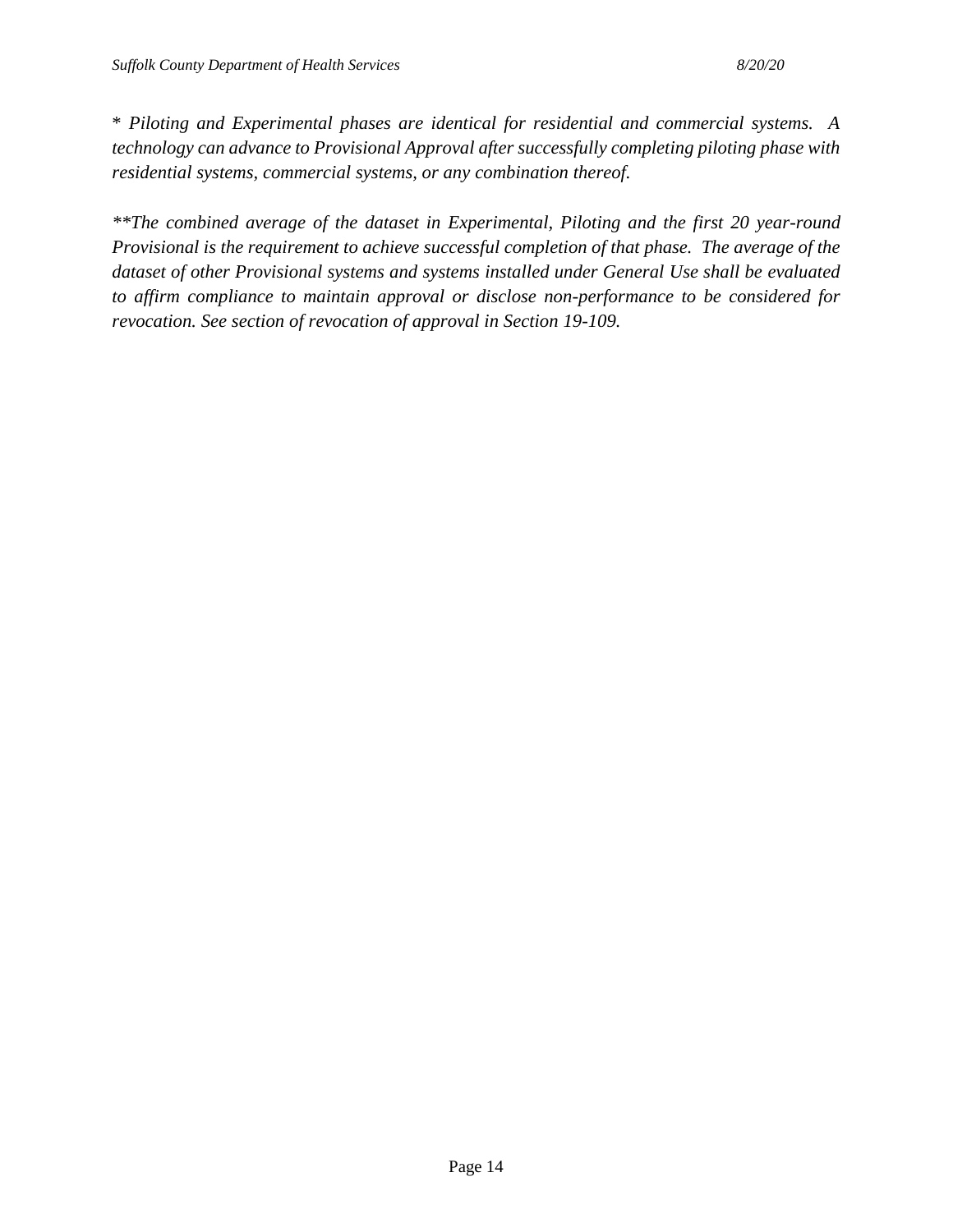\* *Piloting and Experimental phases are identical for residential and commercial systems. A technology can advance to Provisional Approval after successfully completing piloting phase with residential systems, commercial systems, or any combination thereof.*

*\*\*The combined average of the dataset in Experimental, Piloting and the first 20 year-round Provisional is the requirement to achieve successful completion of that phase. The average of the dataset of other Provisional systems and systems installed under General Use shall be evaluated to affirm compliance to maintain approval or disclose non-performance to be considered for revocation. See section of revocation of approval in Section 19-109.*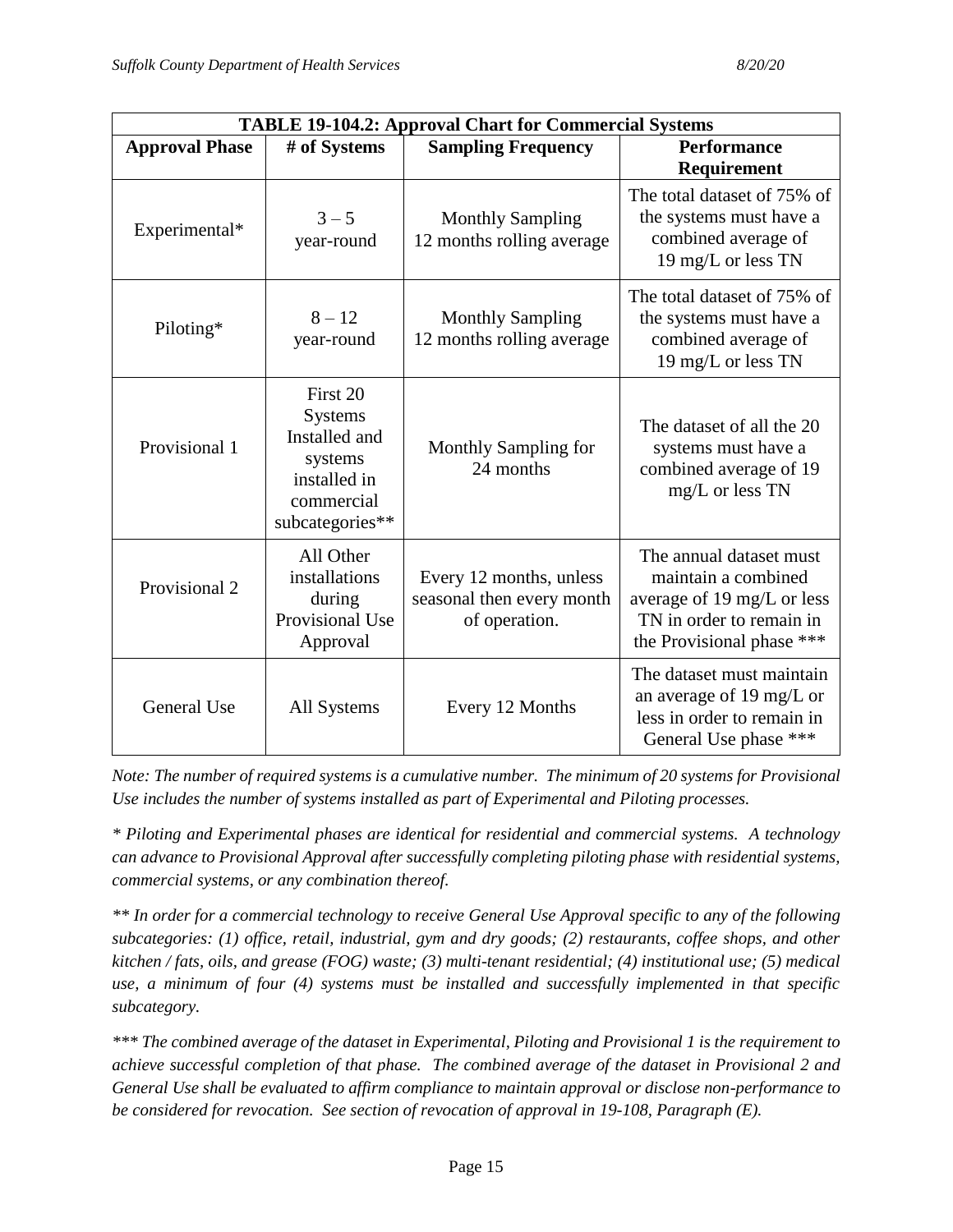| <b>TABLE 19-104.2: Approval Chart for Commercial Systems</b> |                                                                                                  |                                                                       |                                                                                                                                       |
|--------------------------------------------------------------|--------------------------------------------------------------------------------------------------|-----------------------------------------------------------------------|---------------------------------------------------------------------------------------------------------------------------------------|
| <b>Approval Phase</b>                                        | # of Systems                                                                                     | <b>Sampling Frequency</b>                                             | <b>Performance</b><br><b>Requirement</b>                                                                                              |
| Experimental*                                                | $3 - 5$<br>year-round                                                                            | <b>Monthly Sampling</b><br>12 months rolling average                  | The total dataset of 75% of<br>the systems must have a<br>combined average of<br>19 mg/L or less TN                                   |
| Piloting*                                                    | $8 - 12$<br>year-round                                                                           | <b>Monthly Sampling</b><br>12 months rolling average                  | The total dataset of 75% of<br>the systems must have a<br>combined average of<br>19 mg/L or less TN                                   |
| Provisional 1                                                | First 20<br>Systems<br>Installed and<br>systems<br>installed in<br>commercial<br>subcategories** | Monthly Sampling for<br>24 months                                     | The dataset of all the 20<br>systems must have a<br>combined average of 19<br>mg/L or less TN                                         |
| Provisional 2                                                | All Other<br>installations<br>during<br>Provisional Use<br>Approval                              | Every 12 months, unless<br>seasonal then every month<br>of operation. | The annual dataset must<br>maintain a combined<br>average of 19 mg/L or less<br>TN in order to remain in<br>the Provisional phase *** |
| General Use                                                  | All Systems                                                                                      | Every 12 Months                                                       | The dataset must maintain<br>an average of 19 mg/L or<br>less in order to remain in<br>General Use phase ***                          |

*Note: The number of required systems is a cumulative number. The minimum of 20 systems for Provisional Use includes the number of systems installed as part of Experimental and Piloting processes.*

*\* Piloting and Experimental phases are identical for residential and commercial systems. A technology can advance to Provisional Approval after successfully completing piloting phase with residential systems, commercial systems, or any combination thereof.*

*\*\* In order for a commercial technology to receive General Use Approval specific to any of the following subcategories: (1) office, retail, industrial, gym and dry goods; (2) restaurants, coffee shops, and other kitchen / fats, oils, and grease (FOG) waste; (3) multi-tenant residential; (4) institutional use; (5) medical use, a minimum of four (4) systems must be installed and successfully implemented in that specific subcategory.*

*\*\*\* The combined average of the dataset in Experimental, Piloting and Provisional 1 is the requirement to achieve successful completion of that phase. The combined average of the dataset in Provisional 2 and General Use shall be evaluated to affirm compliance to maintain approval or disclose non-performance to be considered for revocation. See section of revocation of approval in 19-108, Paragraph (E).*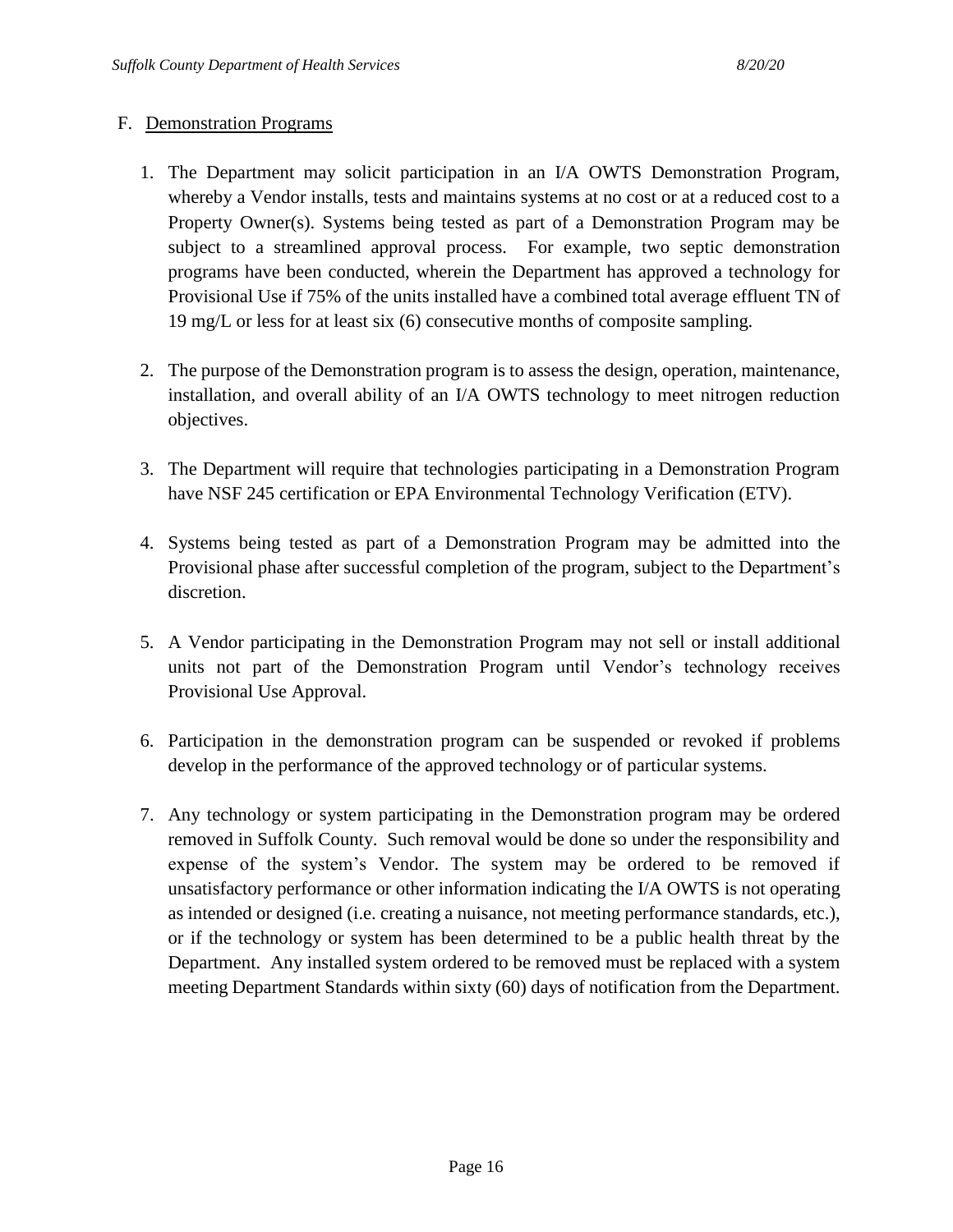#### F. Demonstration Programs

- 1. The Department may solicit participation in an I/A OWTS Demonstration Program, whereby a Vendor installs, tests and maintains systems at no cost or at a reduced cost to a Property Owner(s). Systems being tested as part of a Demonstration Program may be subject to a streamlined approval process. For example, two septic demonstration programs have been conducted, wherein the Department has approved a technology for Provisional Use if 75% of the units installed have a combined total average effluent TN of 19 mg/L or less for at least six (6) consecutive months of composite sampling.
- 2. The purpose of the Demonstration program is to assess the design, operation, maintenance, installation, and overall ability of an I/A OWTS technology to meet nitrogen reduction objectives.
- 3. The Department will require that technologies participating in a Demonstration Program have NSF 245 certification or EPA Environmental Technology Verification (ETV).
- 4. Systems being tested as part of a Demonstration Program may be admitted into the Provisional phase after successful completion of the program, subject to the Department's discretion.
- 5. A Vendor participating in the Demonstration Program may not sell or install additional units not part of the Demonstration Program until Vendor's technology receives Provisional Use Approval.
- 6. Participation in the demonstration program can be suspended or revoked if problems develop in the performance of the approved technology or of particular systems.
- 7. Any technology or system participating in the Demonstration program may be ordered removed in Suffolk County. Such removal would be done so under the responsibility and expense of the system's Vendor. The system may be ordered to be removed if unsatisfactory performance or other information indicating the I/A OWTS is not operating as intended or designed (i.e. creating a nuisance, not meeting performance standards, etc.), or if the technology or system has been determined to be a public health threat by the Department. Any installed system ordered to be removed must be replaced with a system meeting Department Standards within sixty (60) days of notification from the Department.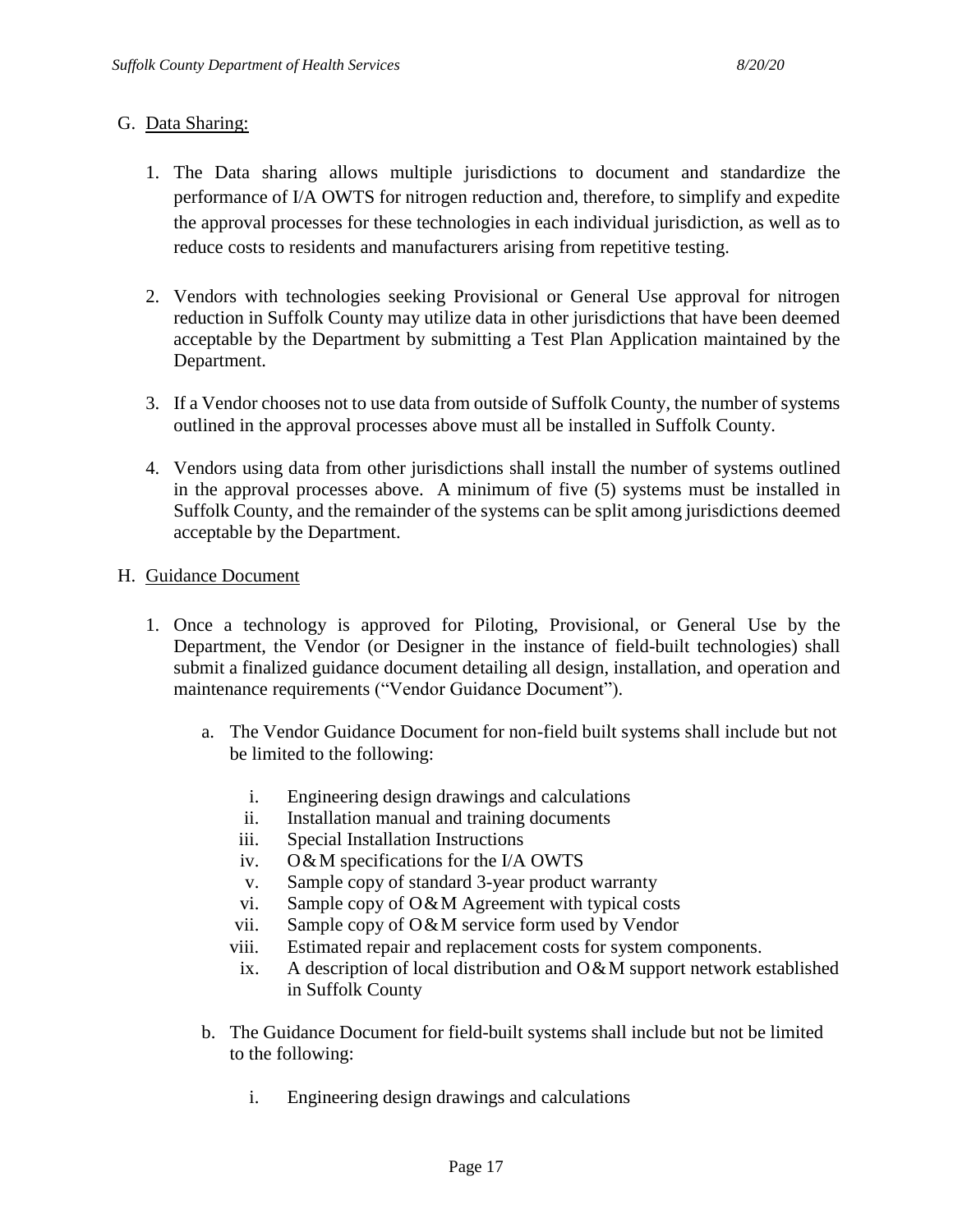#### G. Data Sharing:

- 1. The Data sharing allows multiple jurisdictions to document and standardize the performance of I/A OWTS for nitrogen reduction and, therefore, to simplify and expedite the approval processes for these technologies in each individual jurisdiction, as well as to reduce costs to residents and manufacturers arising from repetitive testing.
- 2. Vendors with technologies seeking Provisional or General Use approval for nitrogen reduction in Suffolk County may utilize data in other jurisdictions that have been deemed acceptable by the Department by submitting a Test Plan Application maintained by the Department.
- 3. If a Vendor chooses not to use data from outside of Suffolk County, the number of systems outlined in the approval processes above must all be installed in Suffolk County.
- 4. Vendors using data from other jurisdictions shall install the number of systems outlined in the approval processes above. A minimum of five (5) systems must be installed in Suffolk County, and the remainder of the systems can be split among jurisdictions deemed acceptable by the Department.
- H. Guidance Document
	- 1. Once a technology is approved for Piloting, Provisional, or General Use by the Department, the Vendor (or Designer in the instance of field-built technologies) shall submit a finalized guidance document detailing all design, installation, and operation and maintenance requirements ("Vendor Guidance Document").
		- a. The Vendor Guidance Document for non-field built systems shall include but not be limited to the following:
			- i. Engineering design drawings and calculations
			- ii. Installation manual and training documents
			- iii. Special Installation Instructions
			- iv. O&M specifications for the I/A OWTS
			- v. Sample copy of standard 3-year product warranty
			- vi. Sample copy of O&M Agreement with typical costs
			- vii. Sample copy of O&M service form used by Vendor
			- viii. Estimated repair and replacement costs for system components.
			- ix. A description of local distribution and  $O\&M$  support network established in Suffolk County
		- b. The Guidance Document for field-built systems shall include but not be limited to the following:
			- i. Engineering design drawings and calculations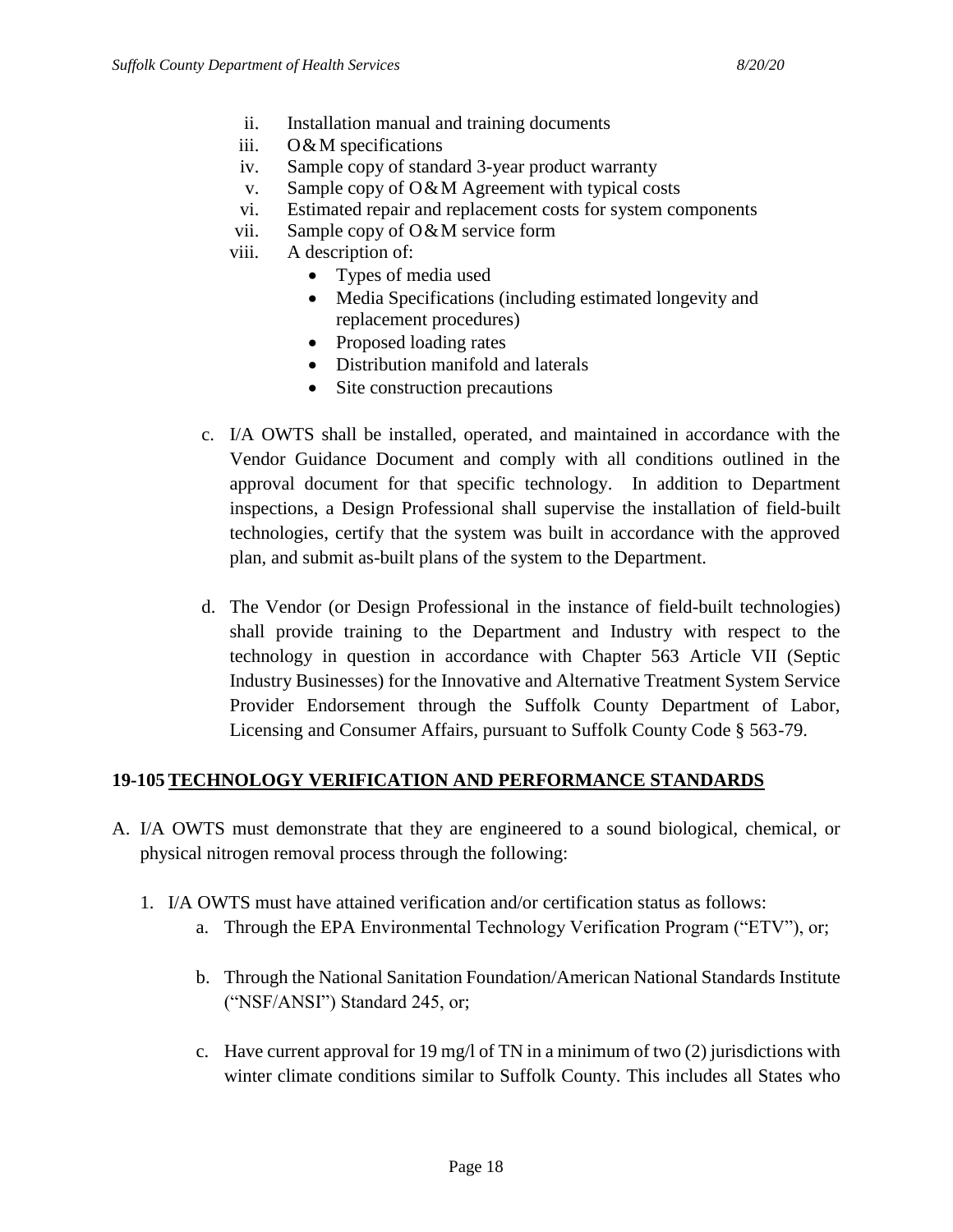- ii. Installation manual and training documents
- iii. O&M specifications
- iv. Sample copy of standard 3-year product warranty
- v. Sample copy of O&M Agreement with typical costs
- vi. Estimated repair and replacement costs for system components
- vii. Sample copy of O&M service form
- viii. A description of:
	- Types of media used
	- Media Specifications (including estimated longevity and replacement procedures)
	- Proposed loading rates
	- Distribution manifold and laterals
	- Site construction precautions
- c. I/A OWTS shall be installed, operated, and maintained in accordance with the Vendor Guidance Document and comply with all conditions outlined in the approval document for that specific technology. In addition to Department inspections, a Design Professional shall supervise the installation of field-built technologies, certify that the system was built in accordance with the approved plan, and submit as-built plans of the system to the Department.
- d. The Vendor (or Design Professional in the instance of field-built technologies) shall provide training to the Department and Industry with respect to the technology in question in accordance with Chapter 563 Article VII (Septic Industry Businesses) for the Innovative and Alternative Treatment System Service Provider Endorsement through the Suffolk County Department of Labor, Licensing and Consumer Affairs, pursuant to Suffolk County Code § 563-79.

#### **19-105 TECHNOLOGY VERIFICATION AND PERFORMANCE STANDARDS**

- A. I/A OWTS must demonstrate that they are engineered to a sound biological, chemical, or physical nitrogen removal process through the following:
	- 1. I/A OWTS must have attained verification and/or certification status as follows:
		- a. Through the EPA Environmental Technology Verification Program ("ETV"), or;
		- b. Through the National Sanitation Foundation/American National Standards Institute ("NSF/ANSI") Standard 245, or;
		- c. Have current approval for 19 mg/l of TN in a minimum of two  $(2)$  jurisdictions with winter climate conditions similar to Suffolk County. This includes all States who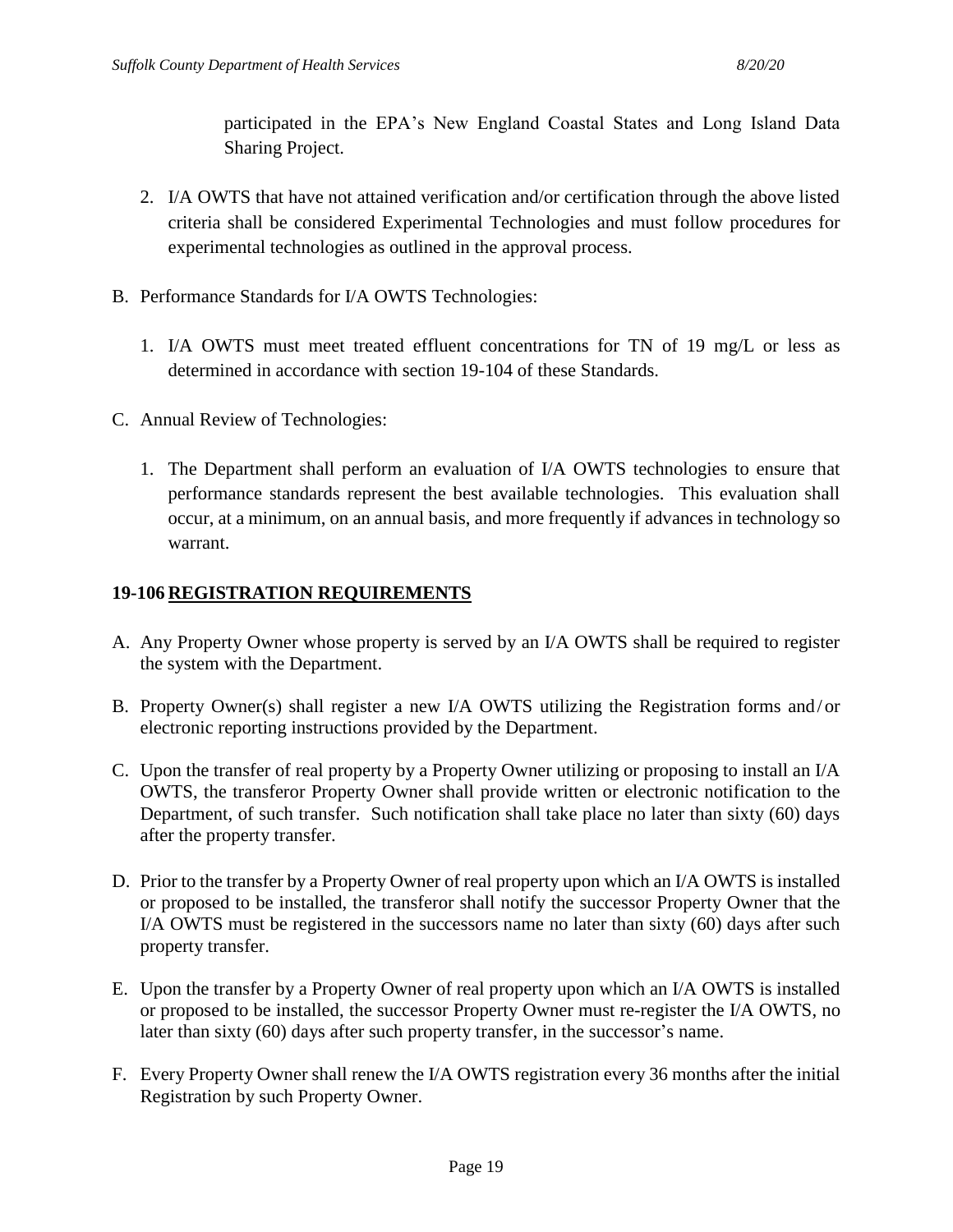participated in the EPA's New England Coastal States and Long Island Data Sharing Project.

- 2. I/A OWTS that have not attained verification and/or certification through the above listed criteria shall be considered Experimental Technologies and must follow procedures for experimental technologies as outlined in the approval process.
- B. Performance Standards for I/A OWTS Technologies:
	- 1. I/A OWTS must meet treated effluent concentrations for TN of 19 mg/L or less as determined in accordance with section 19-104 of these Standards.
- C. Annual Review of Technologies:
	- 1. The Department shall perform an evaluation of I/A OWTS technologies to ensure that performance standards represent the best available technologies. This evaluation shall occur, at a minimum, on an annual basis, and more frequently if advances in technology so warrant.

#### **19-106 REGISTRATION REQUIREMENTS**

- A. Any Property Owner whose property is served by an I/A OWTS shall be required to register the system with the Department.
- B. Property Owner(s) shall register a new I/A OWTS utilizing the Registration forms and/or electronic reporting instructions provided by the Department.
- C. Upon the transfer of real property by a Property Owner utilizing or proposing to install an I/A OWTS, the transferor Property Owner shall provide written or electronic notification to the Department, of such transfer. Such notification shall take place no later than sixty (60) days after the property transfer.
- D. Prior to the transfer by a Property Owner of real property upon which an I/A OWTS is installed or proposed to be installed, the transferor shall notify the successor Property Owner that the I/A OWTS must be registered in the successors name no later than sixty (60) days after such property transfer.
- E. Upon the transfer by a Property Owner of real property upon which an I/A OWTS is installed or proposed to be installed, the successor Property Owner must re-register the I/A OWTS, no later than sixty (60) days after such property transfer, in the successor's name.
- F. Every Property Owner shall renew the I/A OWTS registration every 36 months after the initial Registration by such Property Owner.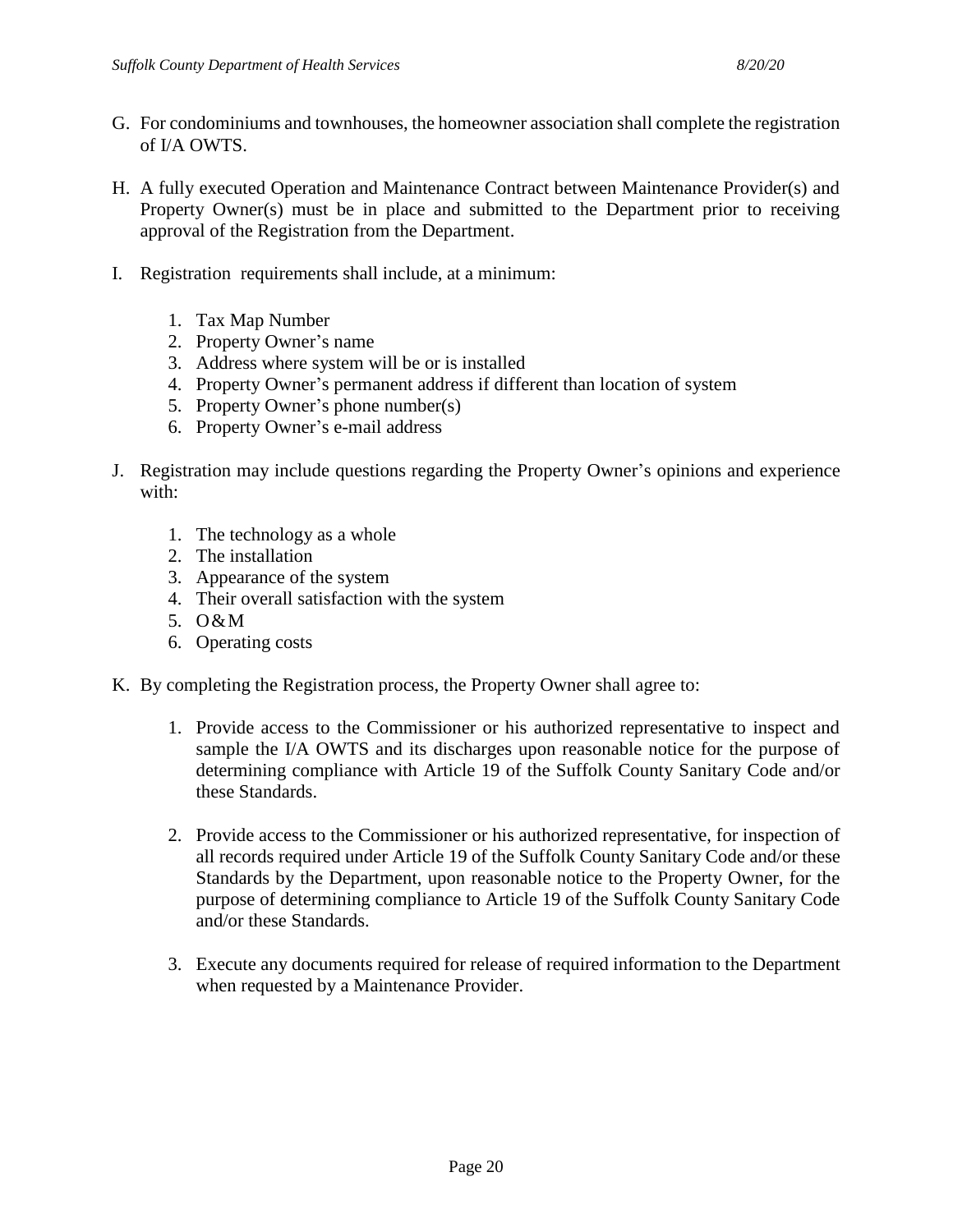- G. For condominiums and townhouses, the homeowner association shall complete the registration of I/A OWTS.
- H. A fully executed Operation and Maintenance Contract between Maintenance Provider(s) and Property Owner(s) must be in place and submitted to the Department prior to receiving approval of the Registration from the Department.
- I. Registration requirements shall include, at a minimum:
	- 1. Tax Map Number
	- 2. Property Owner's name
	- 3. Address where system will be or is installed
	- 4. Property Owner's permanent address if different than location of system
	- 5. Property Owner's phone number(s)
	- 6. Property Owner's e-mail address
- J. Registration may include questions regarding the Property Owner's opinions and experience with:
	- 1. The technology as a whole
	- 2. The installation
	- 3. Appearance of the system
	- 4. Their overall satisfaction with the system
	- 5. O&M
	- 6. Operating costs
- K. By completing the Registration process, the Property Owner shall agree to:
	- 1. Provide access to the Commissioner or his authorized representative to inspect and sample the I/A OWTS and its discharges upon reasonable notice for the purpose of determining compliance with Article 19 of the Suffolk County Sanitary Code and/or these Standards.
	- 2. Provide access to the Commissioner or his authorized representative, for inspection of all records required under Article 19 of the Suffolk County Sanitary Code and/or these Standards by the Department, upon reasonable notice to the Property Owner, for the purpose of determining compliance to Article 19 of the Suffolk County Sanitary Code and/or these Standards.
	- 3. Execute any documents required for release of required information to the Department when requested by a Maintenance Provider.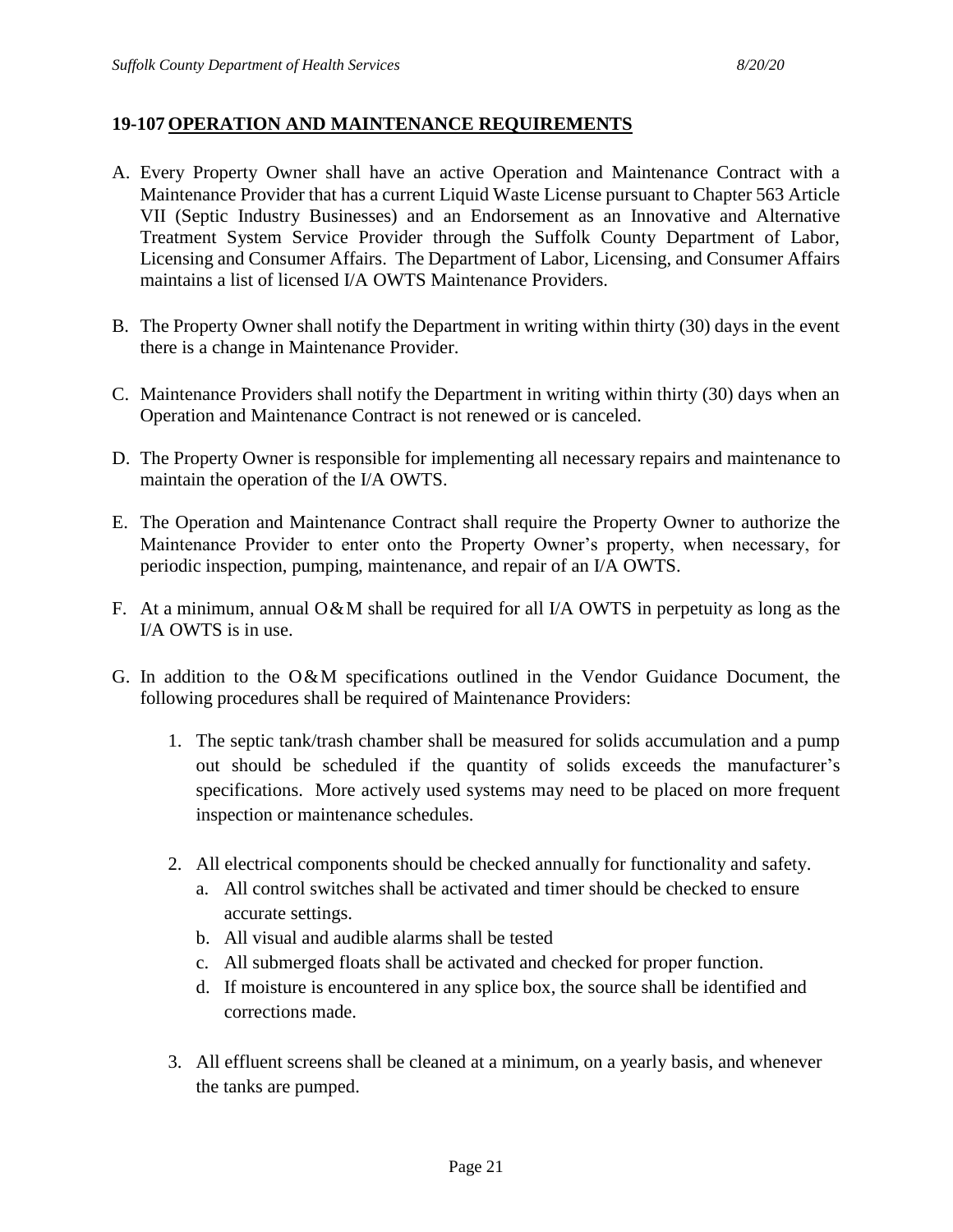#### **19-107 OPERATION AND MAINTENANCE REQUIREMENTS**

- A. Every Property Owner shall have an active Operation and Maintenance Contract with a Maintenance Provider that has a current Liquid Waste License pursuant to Chapter 563 Article VII (Septic Industry Businesses) and an Endorsement as an Innovative and Alternative Treatment System Service Provider through the Suffolk County Department of Labor, Licensing and Consumer Affairs. The Department of Labor, Licensing, and Consumer Affairs maintains a list of licensed I/A OWTS Maintenance Providers.
- B. The Property Owner shall notify the Department in writing within thirty (30) days in the event there is a change in Maintenance Provider.
- C. Maintenance Providers shall notify the Department in writing within thirty (30) days when an Operation and Maintenance Contract is not renewed or is canceled.
- D. The Property Owner is responsible for implementing all necessary repairs and maintenance to maintain the operation of the I/A OWTS.
- E. The Operation and Maintenance Contract shall require the Property Owner to authorize the Maintenance Provider to enter onto the Property Owner's property, when necessary, for periodic inspection, pumping, maintenance, and repair of an I/A OWTS.
- F. At a minimum, annual O&M shall be required for all I/A OWTS in perpetuity as long as the I/A OWTS is in use.
- G. In addition to the O&M specifications outlined in the Vendor Guidance Document, the following procedures shall be required of Maintenance Providers:
	- 1. The septic tank/trash chamber shall be measured for solids accumulation and a pump out should be scheduled if the quantity of solids exceeds the manufacturer's specifications. More actively used systems may need to be placed on more frequent inspection or maintenance schedules.
	- 2. All electrical components should be checked annually for functionality and safety.
		- a. All control switches shall be activated and timer should be checked to ensure accurate settings.
		- b. All visual and audible alarms shall be tested
		- c. All submerged floats shall be activated and checked for proper function.
		- d. If moisture is encountered in any splice box, the source shall be identified and corrections made.
	- 3. All effluent screens shall be cleaned at a minimum, on a yearly basis, and whenever the tanks are pumped.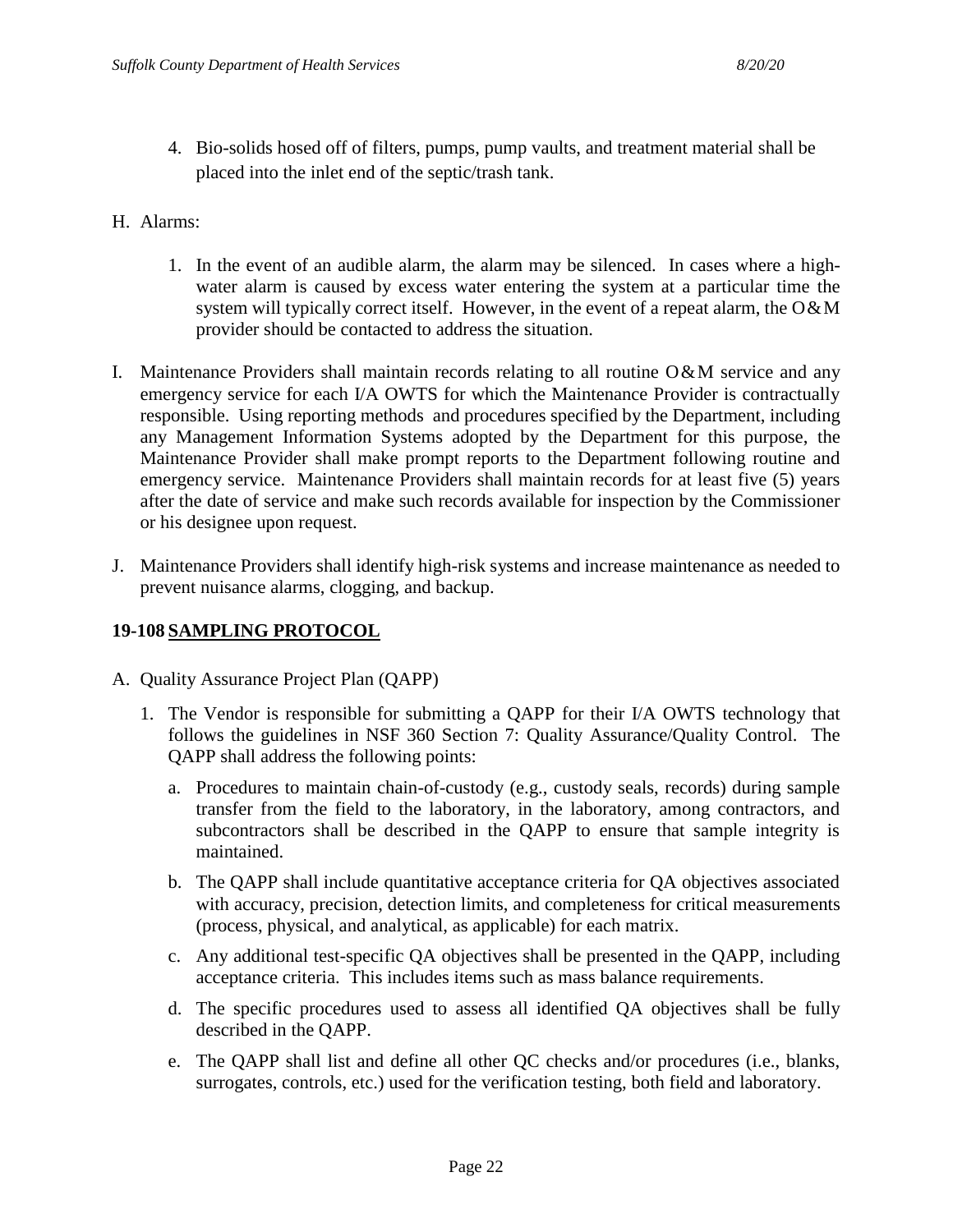- 4. Bio-solids hosed off of filters, pumps, pump vaults, and treatment material shall be placed into the inlet end of the septic/trash tank.
- H. Alarms:
	- 1. In the event of an audible alarm, the alarm may be silenced. In cases where a highwater alarm is caused by excess water entering the system at a particular time the system will typically correct itself. However, in the event of a repeat alarm, the  $O\&M$ provider should be contacted to address the situation.
- I. Maintenance Providers shall maintain records relating to all routine  $O\&M$  service and any emergency service for each I/A OWTS for which the Maintenance Provider is contractually responsible. Using reporting methods and procedures specified by the Department, including any Management Information Systems adopted by the Department for this purpose, the Maintenance Provider shall make prompt reports to the Department following routine and emergency service. Maintenance Providers shall maintain records for at least five (5) years after the date of service and make such records available for inspection by the Commissioner or his designee upon request.
- J. Maintenance Providers shall identify high-risk systems and increase maintenance as needed to prevent nuisance alarms, clogging, and backup.

#### **19-108 SAMPLING PROTOCOL**

- A. Quality Assurance Project Plan (QAPP)
	- 1. The Vendor is responsible for submitting a QAPP for their I/A OWTS technology that follows the guidelines in NSF 360 Section 7: Quality Assurance/Quality Control. The QAPP shall address the following points:
		- a. Procedures to maintain chain-of-custody (e.g., custody seals, records) during sample transfer from the field to the laboratory, in the laboratory, among contractors, and subcontractors shall be described in the QAPP to ensure that sample integrity is maintained.
		- b. The QAPP shall include quantitative acceptance criteria for QA objectives associated with accuracy, precision, detection limits, and completeness for critical measurements (process, physical, and analytical, as applicable) for each matrix.
		- c. Any additional test-specific QA objectives shall be presented in the QAPP, including acceptance criteria. This includes items such as mass balance requirements.
		- d. The specific procedures used to assess all identified QA objectives shall be fully described in the QAPP.
		- e. The QAPP shall list and define all other QC checks and/or procedures (i.e., blanks, surrogates, controls, etc.) used for the verification testing, both field and laboratory.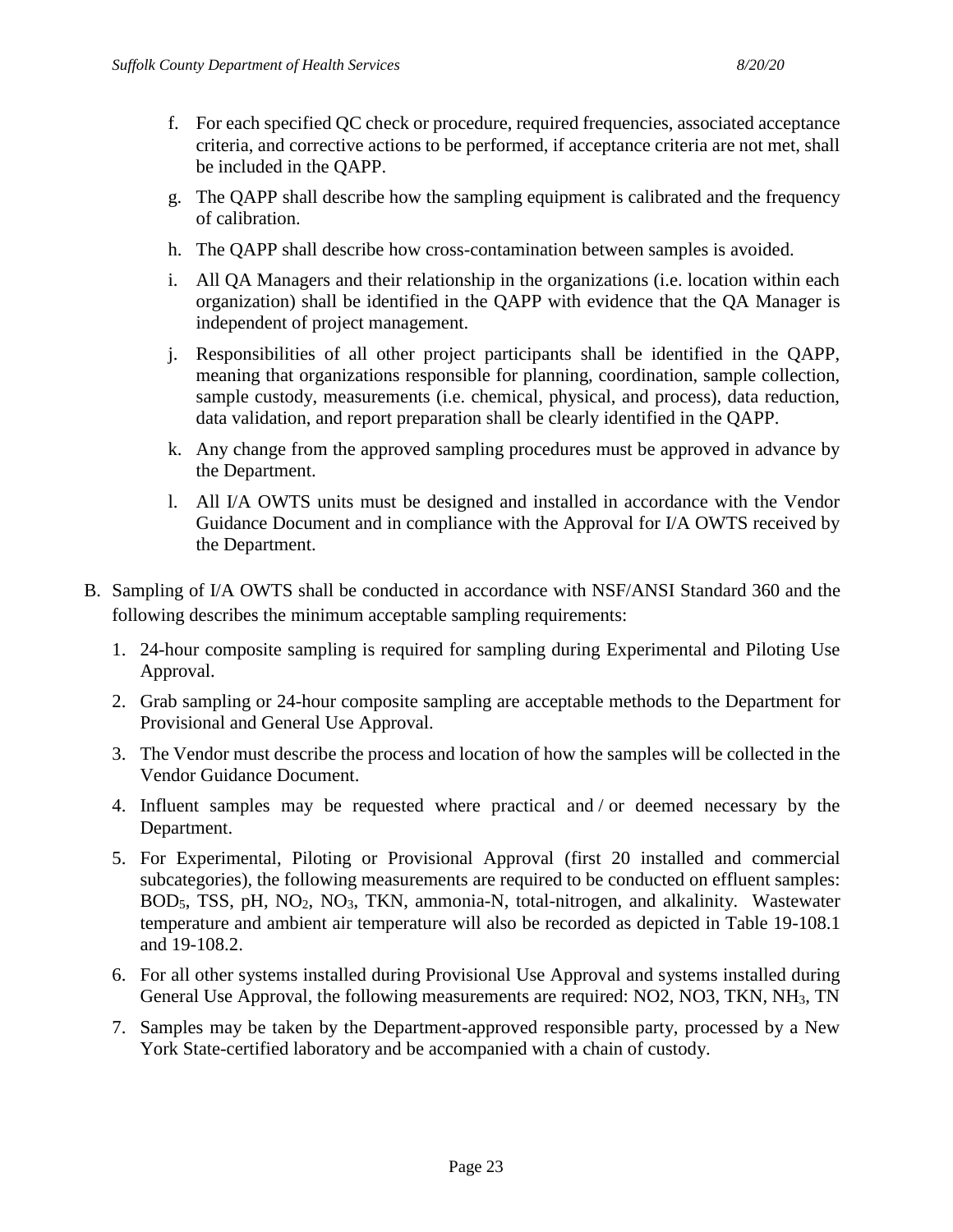- f. For each specified QC check or procedure, required frequencies, associated acceptance criteria, and corrective actions to be performed, if acceptance criteria are not met, shall be included in the QAPP.
- g. The QAPP shall describe how the sampling equipment is calibrated and the frequency of calibration.
- h. The QAPP shall describe how cross-contamination between samples is avoided.
- i. All QA Managers and their relationship in the organizations (i.e. location within each organization) shall be identified in the QAPP with evidence that the QA Manager is independent of project management.
- j. Responsibilities of all other project participants shall be identified in the QAPP, meaning that organizations responsible for planning, coordination, sample collection, sample custody, measurements (i.e. chemical, physical, and process), data reduction, data validation, and report preparation shall be clearly identified in the QAPP.
- k. Any change from the approved sampling procedures must be approved in advance by the Department.
- l. All I/A OWTS units must be designed and installed in accordance with the Vendor Guidance Document and in compliance with the Approval for I/A OWTS received by the Department.
- B. Sampling of I/A OWTS shall be conducted in accordance with NSF/ANSI Standard 360 and the following describes the minimum acceptable sampling requirements:
	- 1. 24-hour composite sampling is required for sampling during Experimental and Piloting Use Approval.
	- 2. Grab sampling or 24-hour composite sampling are acceptable methods to the Department for Provisional and General Use Approval.
	- 3. The Vendor must describe the process and location of how the samples will be collected in the Vendor Guidance Document.
	- 4. Influent samples may be requested where practical and  $\sigma$  deemed necessary by the Department.
	- 5. For Experimental, Piloting or Provisional Approval (first 20 installed and commercial subcategories), the following measurements are required to be conducted on effluent samples: BOD<sub>5</sub>, TSS, pH, NO<sub>2</sub>, NO<sub>3</sub>, TKN, ammonia-N, total-nitrogen, and alkalinity. Wastewater temperature and ambient air temperature will also be recorded as depicted in Table 19-108.1 and 19-108.2.
	- 6. For all other systems installed during Provisional Use Approval and systems installed during General Use Approval, the following measurements are required: NO2, NO3, TKN, NH<sub>3</sub>, TN
	- 7. Samples may be taken by the Department-approved responsible party, processed by a New York State-certified laboratory and be accompanied with a chain of custody.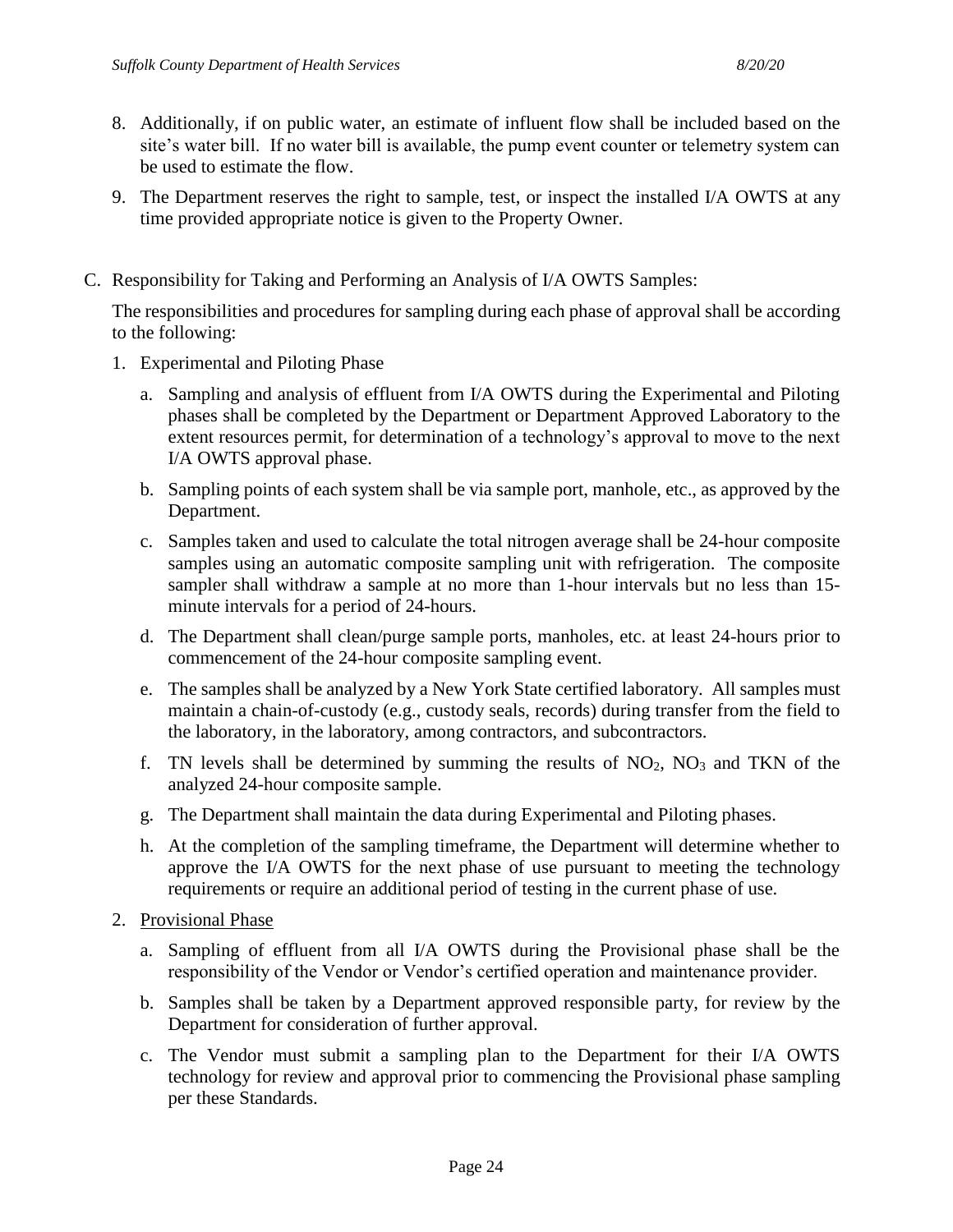- 8. Additionally, if on public water, an estimate of influent flow shall be included based on the site's water bill. If no water bill is available, the pump event counter or telemetry system can be used to estimate the flow.
- 9. The Department reserves the right to sample, test, or inspect the installed I/A OWTS at any time provided appropriate notice is given to the Property Owner.
- C. Responsibility for Taking and Performing an Analysis of I/A OWTS Samples:

The responsibilities and procedures for sampling during each phase of approval shall be according to the following:

- 1. Experimental and Piloting Phase
	- a. Sampling and analysis of effluent from I/A OWTS during the Experimental and Piloting phases shall be completed by the Department or Department Approved Laboratory to the extent resources permit, for determination of a technology's approval to move to the next I/A OWTS approval phase.
	- b. Sampling points of each system shall be via sample port, manhole, etc., as approved by the Department.
	- c. Samples taken and used to calculate the total nitrogen average shall be 24-hour composite samples using an automatic composite sampling unit with refrigeration. The composite sampler shall withdraw a sample at no more than 1-hour intervals but no less than 15 minute intervals for a period of 24-hours.
	- d. The Department shall clean/purge sample ports, manholes, etc. at least 24-hours prior to commencement of the 24-hour composite sampling event.
	- e. The samples shall be analyzed by a New York State certified laboratory. All samples must maintain a chain-of-custody (e.g., custody seals, records) during transfer from the field to the laboratory, in the laboratory, among contractors, and subcontractors.
	- f. TN levels shall be determined by summing the results of  $NO<sub>2</sub>$ ,  $NO<sub>3</sub>$  and TKN of the analyzed 24-hour composite sample.
	- g. The Department shall maintain the data during Experimental and Piloting phases.
	- h. At the completion of the sampling timeframe, the Department will determine whether to approve the I/A OWTS for the next phase of use pursuant to meeting the technology requirements or require an additional period of testing in the current phase of use.
- 2. Provisional Phase
	- a. Sampling of effluent from all I/A OWTS during the Provisional phase shall be the responsibility of the Vendor or Vendor's certified operation and maintenance provider.
	- b. Samples shall be taken by a Department approved responsible party, for review by the Department for consideration of further approval.
	- c. The Vendor must submit a sampling plan to the Department for their I/A OWTS technology for review and approval prior to commencing the Provisional phase sampling per these Standards.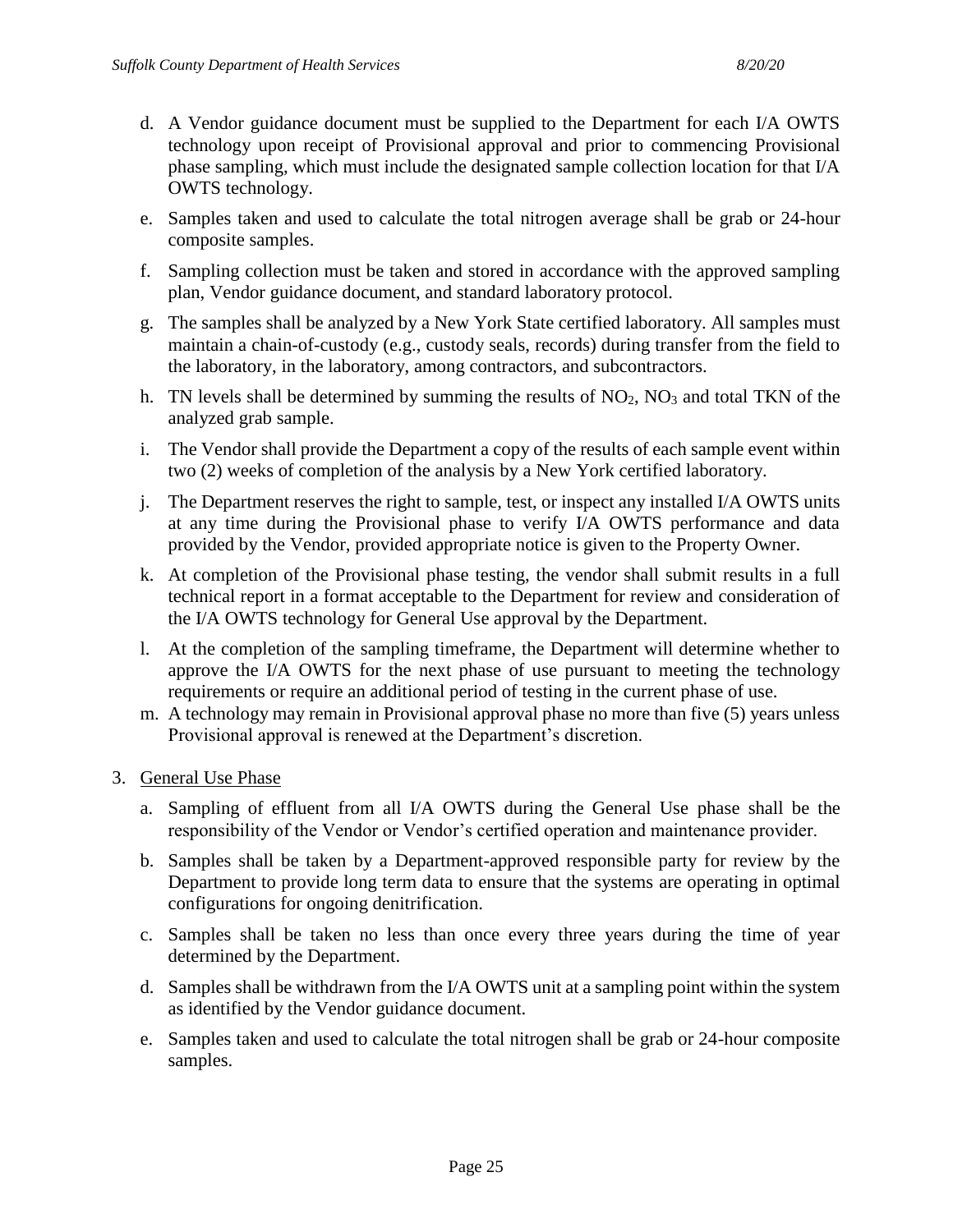- d. A Vendor guidance document must be supplied to the Department for each I/A OWTS technology upon receipt of Provisional approval and prior to commencing Provisional phase sampling, which must include the designated sample collection location for that I/A OWTS technology.
- e. Samples taken and used to calculate the total nitrogen average shall be grab or 24-hour composite samples.
- f. Sampling collection must be taken and stored in accordance with the approved sampling plan, Vendor guidance document, and standard laboratory protocol.
- g. The samples shall be analyzed by a New York State certified laboratory. All samples must maintain a chain-of-custody (e.g., custody seals, records) during transfer from the field to the laboratory, in the laboratory, among contractors, and subcontractors.
- h. TN levels shall be determined by summing the results of  $NO<sub>2</sub>$ ,  $NO<sub>3</sub>$  and total TKN of the analyzed grab sample.
- i. The Vendor shall provide the Department a copy of the results of each sample event within two (2) weeks of completion of the analysis by a New York certified laboratory.
- j. The Department reserves the right to sample, test, or inspect any installed I/A OWTS units at any time during the Provisional phase to verify I/A OWTS performance and data provided by the Vendor, provided appropriate notice is given to the Property Owner.
- k. At completion of the Provisional phase testing, the vendor shall submit results in a full technical report in a format acceptable to the Department for review and consideration of the I/A OWTS technology for General Use approval by the Department.
- l. At the completion of the sampling timeframe, the Department will determine whether to approve the I/A OWTS for the next phase of use pursuant to meeting the technology requirements or require an additional period of testing in the current phase of use.
- m. A technology may remain in Provisional approval phase no more than five (5) years unless Provisional approval is renewed at the Department's discretion.
- 3. General Use Phase
	- a. Sampling of effluent from all I/A OWTS during the General Use phase shall be the responsibility of the Vendor or Vendor's certified operation and maintenance provider.
	- b. Samples shall be taken by a Department-approved responsible party for review by the Department to provide long term data to ensure that the systems are operating in optimal configurations for ongoing denitrification.
	- c. Samples shall be taken no less than once every three years during the time of year determined by the Department.
	- d. Samples shall be withdrawn from the I/A OWTS unit at a sampling point within the system as identified by the Vendor guidance document.
	- e. Samples taken and used to calculate the total nitrogen shall be grab or 24-hour composite samples.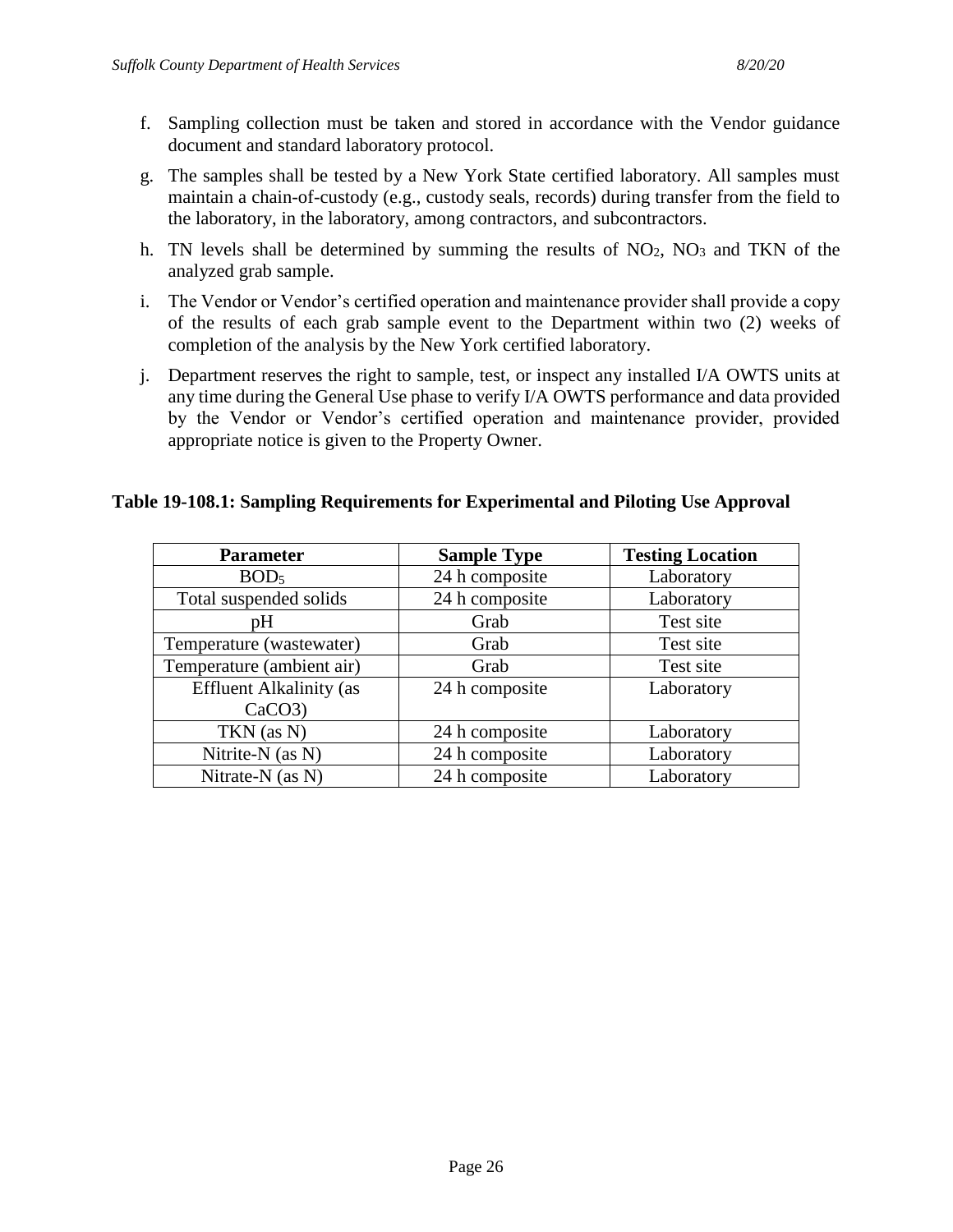- f. Sampling collection must be taken and stored in accordance with the Vendor guidance document and standard laboratory protocol.
- g. The samples shall be tested by a New York State certified laboratory. All samples must maintain a chain-of-custody (e.g., custody seals, records) during transfer from the field to the laboratory, in the laboratory, among contractors, and subcontractors.
- h. TN levels shall be determined by summing the results of  $NO<sub>2</sub>$ ,  $NO<sub>3</sub>$  and TKN of the analyzed grab sample.
- i. The Vendor or Vendor's certified operation and maintenance provider shall provide a copy of the results of each grab sample event to the Department within two (2) weeks of completion of the analysis by the New York certified laboratory.
- j. Department reserves the right to sample, test, or inspect any installed I/A OWTS units at any time during the General Use phase to verify I/A OWTS performance and data provided by the Vendor or Vendor's certified operation and maintenance provider, provided appropriate notice is given to the Property Owner.

#### **Table 19-108.1: Sampling Requirements for Experimental and Piloting Use Approval**

| <b>Parameter</b>               | <b>Sample Type</b> | <b>Testing Location</b> |
|--------------------------------|--------------------|-------------------------|
| BOD <sub>5</sub>               | 24 h composite     | Laboratory              |
| Total suspended solids         | 24 h composite     | Laboratory              |
| pH                             | Grab               | Test site               |
| Temperature (wastewater)       | Grab               | Test site               |
| Temperature (ambient air)      | Grab               | Test site               |
| <b>Effluent Alkalinity (as</b> | 24 h composite     | Laboratory              |
| CaCO3                          |                    |                         |
| TKN (as N)                     | 24 h composite     | Laboratory              |
| Nitrite-N (as N)               | 24 h composite     | Laboratory              |
| Nitrate- $N$ (as $N$ )         | 24 h composite     | Laboratory              |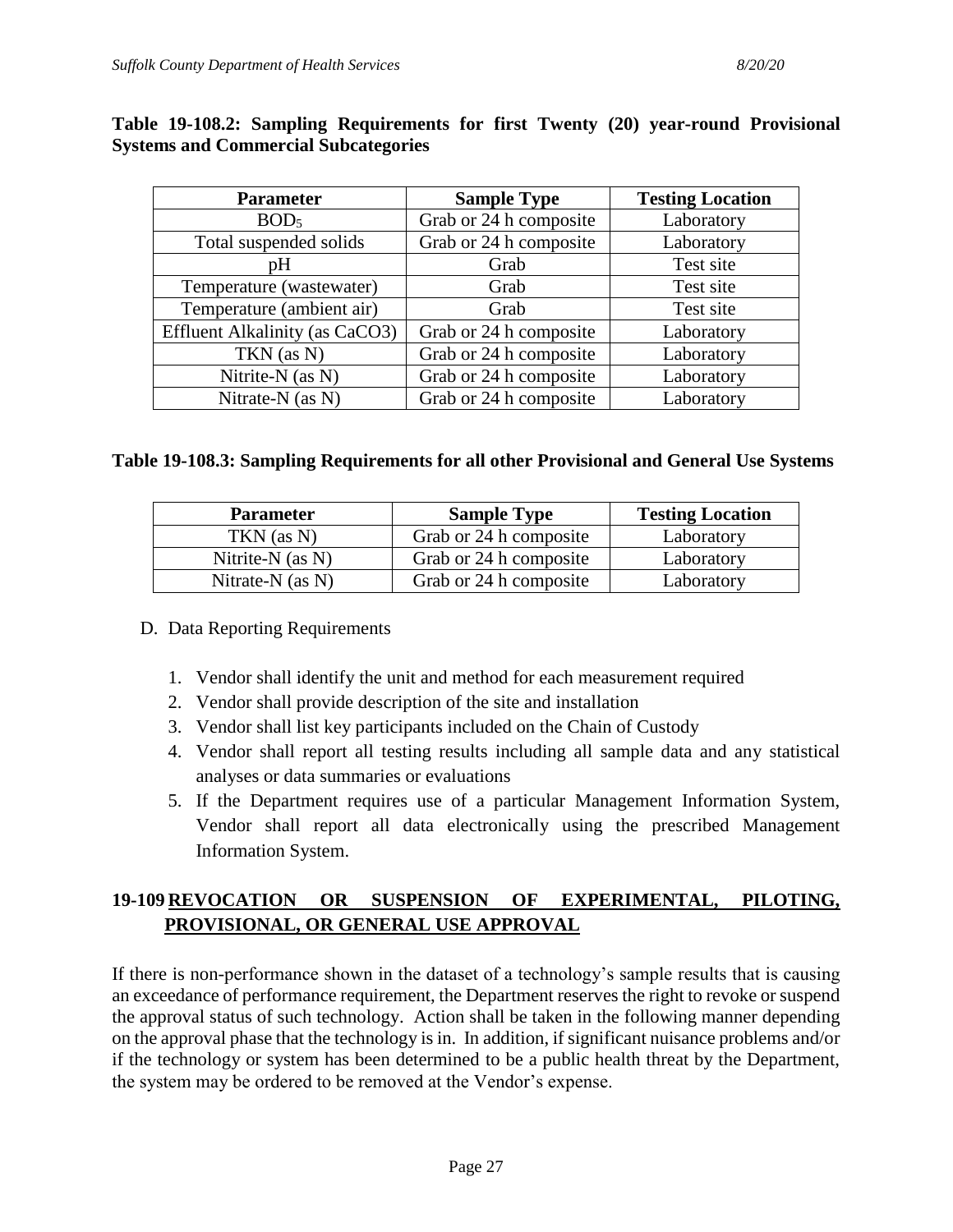| <b>Parameter</b>               | <b>Sample Type</b>     | <b>Testing Location</b> |
|--------------------------------|------------------------|-------------------------|
| BOD <sub>5</sub>               | Grab or 24 h composite | Laboratory              |
| Total suspended solids         | Grab or 24 h composite | Laboratory              |
| pH                             | Grab                   | Test site               |
| Temperature (wastewater)       | Grab                   | Test site               |
| Temperature (ambient air)      | Grab                   | Test site               |
| Effluent Alkalinity (as CaCO3) | Grab or 24 h composite | Laboratory              |
| TKN (as N)                     | Grab or 24 h composite | Laboratory              |
| Nitrite-N (as N)               | Grab or 24 h composite | Laboratory              |
| Nitrate-N (as N)               | Grab or 24 h composite | Laboratory              |

#### **Table 19-108.2: Sampling Requirements for first Twenty (20) year-round Provisional Systems and Commercial Subcategories**

#### **Table 19-108.3: Sampling Requirements for all other Provisional and General Use Systems**

| <b>Parameter</b>       | <b>Sample Type</b>     | <b>Testing Location</b> |
|------------------------|------------------------|-------------------------|
| $TKN$ (as N)           | Grab or 24 h composite | Laboratory              |
| Nitrite- $N$ (as $N$ ) | Grab or 24 h composite | Laboratory              |
| Nitrate-N $(as N)$     | Grab or 24 h composite | Laboratory              |

#### D. Data Reporting Requirements

- 1. Vendor shall identify the unit and method for each measurement required
- 2. Vendor shall provide description of the site and installation
- 3. Vendor shall list key participants included on the Chain of Custody
- 4. Vendor shall report all testing results including all sample data and any statistical analyses or data summaries or evaluations
- 5. If the Department requires use of a particular Management Information System, Vendor shall report all data electronically using the prescribed Management Information System.

### **19-109 REVOCATION OR SUSPENSION OF EXPERIMENTAL, PILOTING, PROVISIONAL, OR GENERAL USE APPROVAL**

If there is non-performance shown in the dataset of a technology's sample results that is causing an exceedance of performance requirement, the Department reserves the right to revoke or suspend the approval status of such technology. Action shall be taken in the following manner depending on the approval phase that the technology is in. In addition, if significant nuisance problems and/or if the technology or system has been determined to be a public health threat by the Department, the system may be ordered to be removed at the Vendor's expense.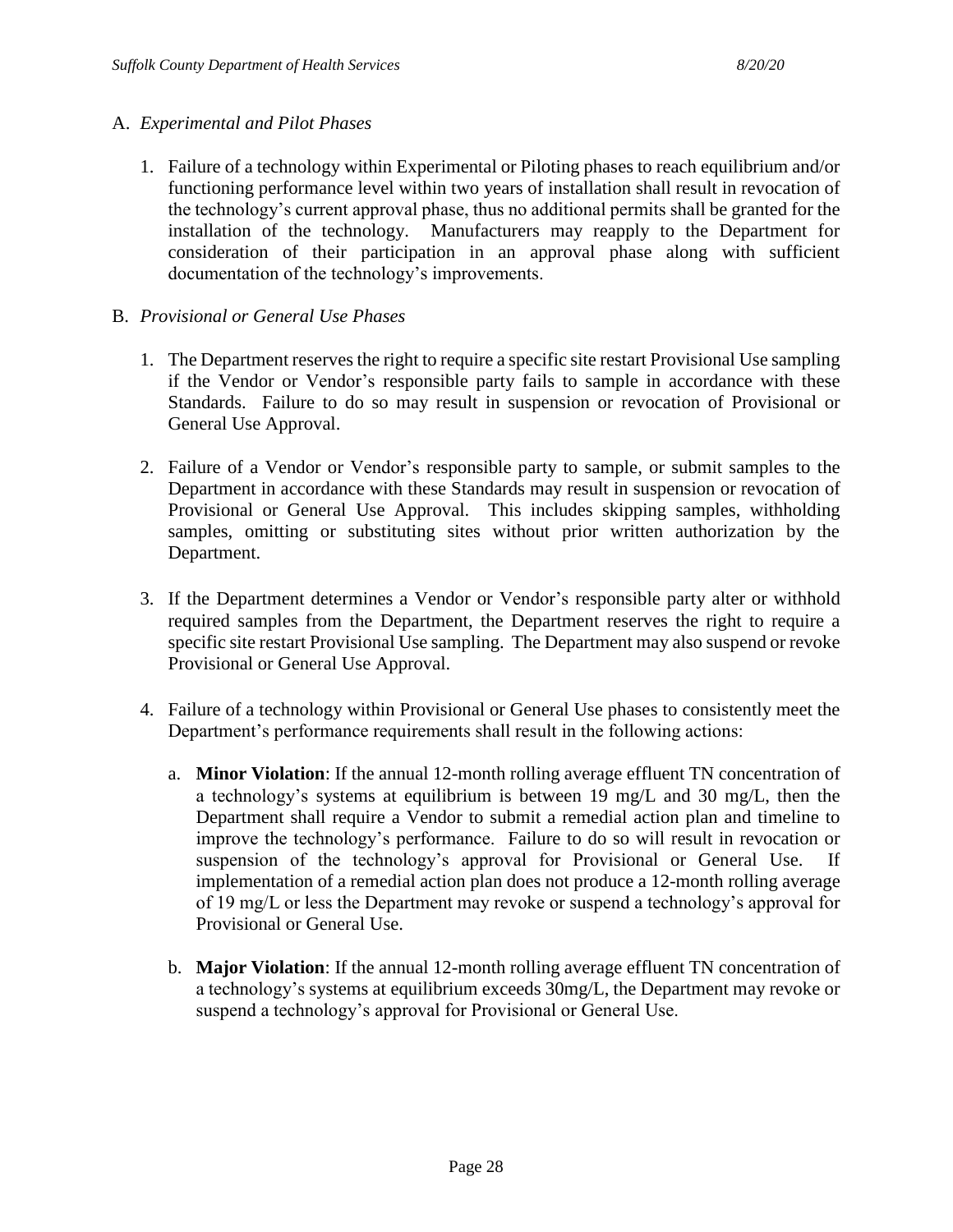#### A. *Experimental and Pilot Phases*

- 1. Failure of a technology within Experimental or Piloting phases to reach equilibrium and/or functioning performance level within two years of installation shall result in revocation of the technology's current approval phase, thus no additional permits shall be granted for the installation of the technology. Manufacturers may reapply to the Department for consideration of their participation in an approval phase along with sufficient documentation of the technology's improvements.
- B. *Provisional or General Use Phases*
	- 1. The Department reserves the right to require a specific site restart Provisional Use sampling if the Vendor or Vendor's responsible party fails to sample in accordance with these Standards. Failure to do so may result in suspension or revocation of Provisional or General Use Approval.
	- 2. Failure of a Vendor or Vendor's responsible party to sample, or submit samples to the Department in accordance with these Standards may result in suspension or revocation of Provisional or General Use Approval. This includes skipping samples, withholding samples, omitting or substituting sites without prior written authorization by the Department.
	- 3. If the Department determines a Vendor or Vendor's responsible party alter or withhold required samples from the Department, the Department reserves the right to require a specific site restart Provisional Use sampling. The Department may also suspend or revoke Provisional or General Use Approval.
	- 4. Failure of a technology within Provisional or General Use phases to consistently meet the Department's performance requirements shall result in the following actions:
		- a. **Minor Violation**: If the annual 12-month rolling average effluent TN concentration of a technology's systems at equilibrium is between 19 mg/L and 30 mg/L, then the Department shall require a Vendor to submit a remedial action plan and timeline to improve the technology's performance. Failure to do so will result in revocation or suspension of the technology's approval for Provisional or General Use. If implementation of a remedial action plan does not produce a 12-month rolling average of 19 mg/L or less the Department may revoke or suspend a technology's approval for Provisional or General Use.
		- b. **Major Violation**: If the annual 12-month rolling average effluent TN concentration of a technology's systems at equilibrium exceeds 30mg/L, the Department may revoke or suspend a technology's approval for Provisional or General Use.